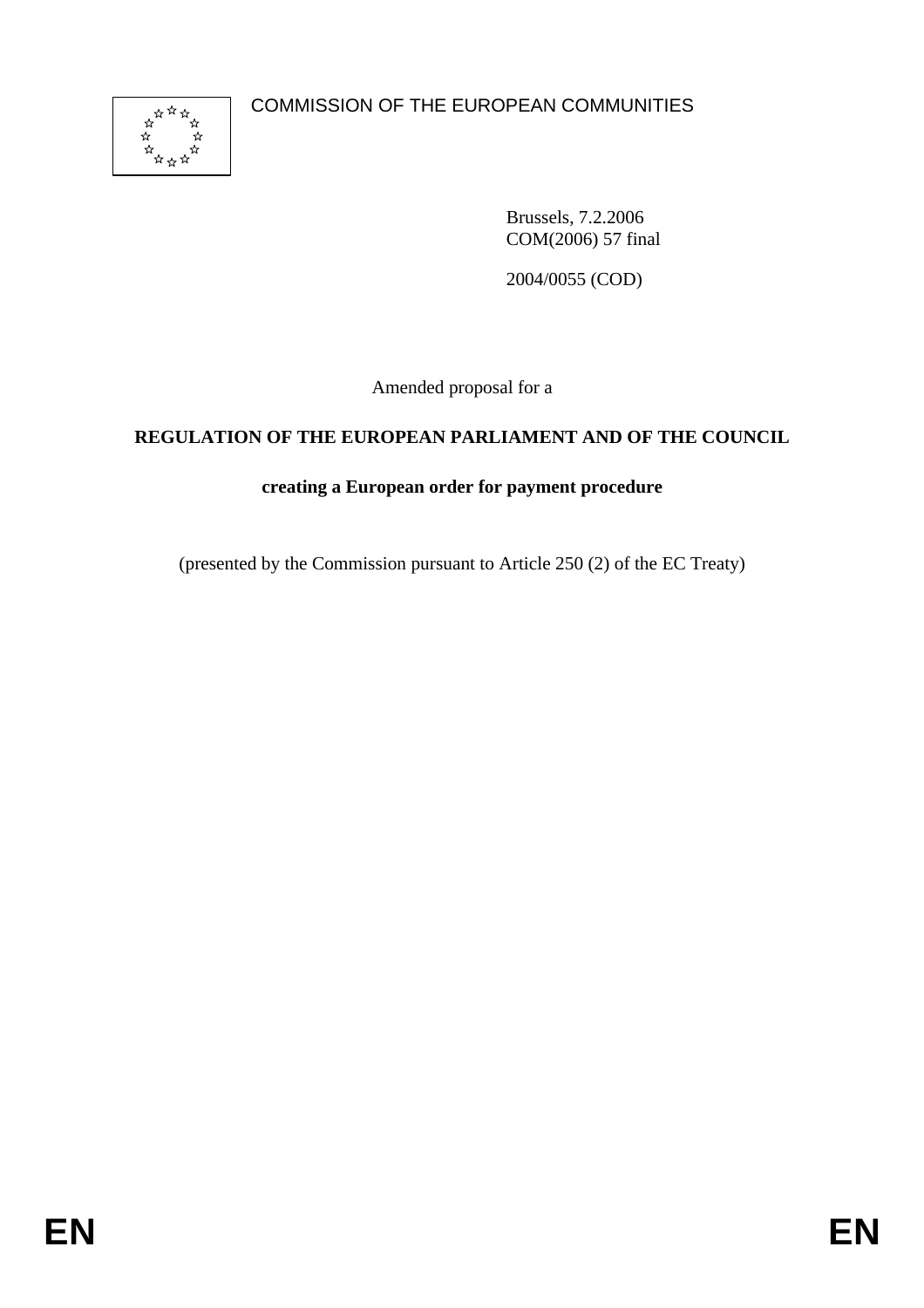

Brussels, 7.2.2006 COM(2006) 57 final

2004/0055 (COD)

Amended proposal for a

## **REGULATION OF THE EUROPEAN PARLIAMENT AND OF THE COUNCIL**

# **creating a European order for payment procedure**

(presented by the Commission pursuant to Article 250 (2) of the EC Treaty)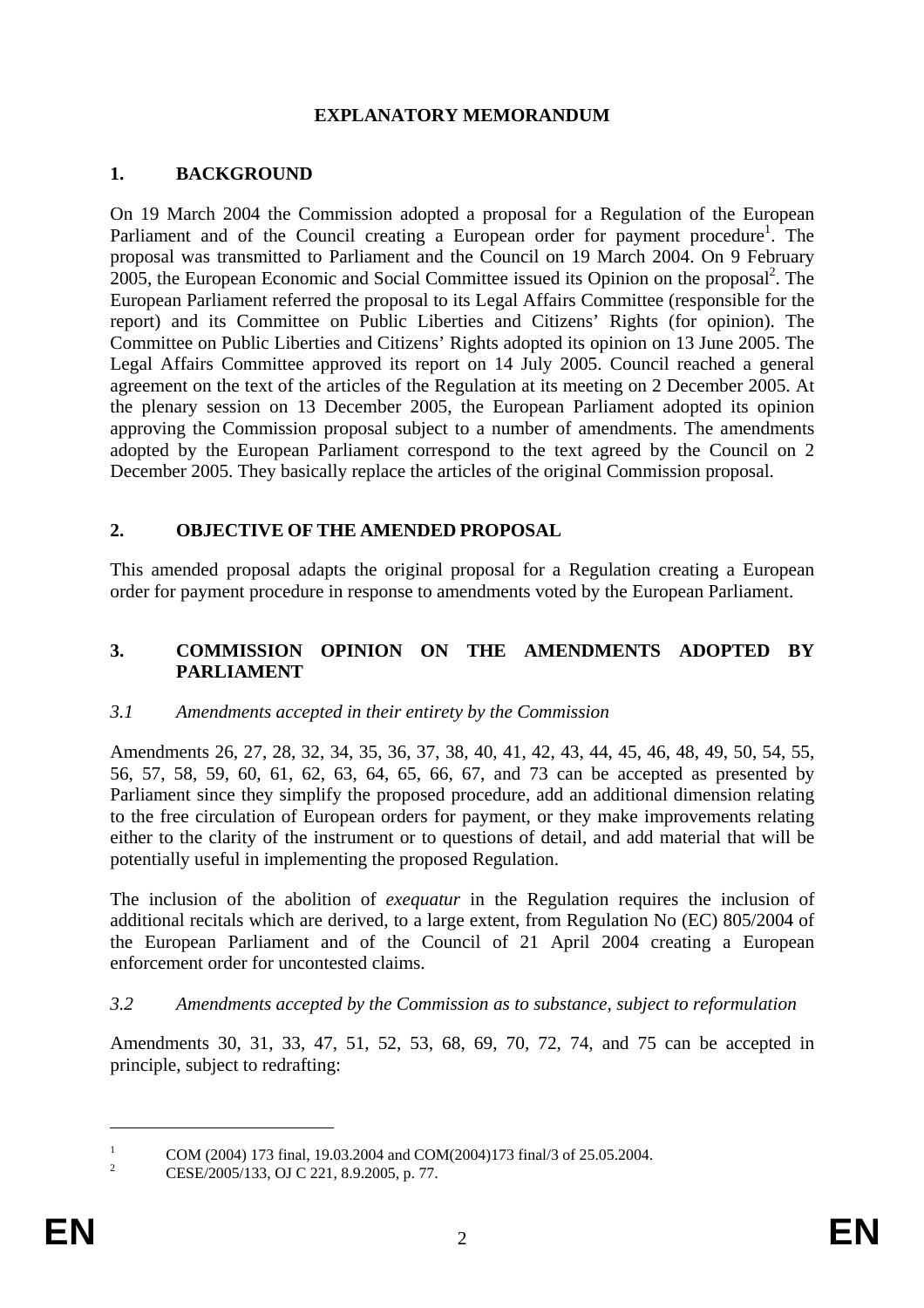## **EXPLANATORY MEMORANDUM**

## **1. BACKGROUND**

On 19 March 2004 the Commission adopted a proposal for a Regulation of the European Parliament and of the Council creating a European order for payment procedure<sup>1</sup>. The proposal was transmitted to Parliament and the Council on 19 March 2004. On 9 February  $2005$ , the European Economic and Social Committee issued its Opinion on the proposal<sup>2</sup>. The European Parliament referred the proposal to its Legal Affairs Committee (responsible for the report) and its Committee on Public Liberties and Citizens' Rights (for opinion). The Committee on Public Liberties and Citizens' Rights adopted its opinion on 13 June 2005. The Legal Affairs Committee approved its report on 14 July 2005. Council reached a general agreement on the text of the articles of the Regulation at its meeting on 2 December 2005. At the plenary session on 13 December 2005, the European Parliament adopted its opinion approving the Commission proposal subject to a number of amendments. The amendments adopted by the European Parliament correspond to the text agreed by the Council on 2 December 2005. They basically replace the articles of the original Commission proposal.

## **2. OBJECTIVE OF THE AMENDED PROPOSAL**

This amended proposal adapts the original proposal for a Regulation creating a European order for payment procedure in response to amendments voted by the European Parliament.

### **3. COMMISSION OPINION ON THE AMENDMENTS ADOPTED BY PARLIAMENT**

### *3.1 Amendments accepted in their entirety by the Commission*

Amendments 26, 27, 28, 32, 34, 35, 36, 37, 38, 40, 41, 42, 43, 44, 45, 46, 48, 49, 50, 54, 55, 56, 57, 58, 59, 60, 61, 62, 63, 64, 65, 66, 67, and 73 can be accepted as presented by Parliament since they simplify the proposed procedure, add an additional dimension relating to the free circulation of European orders for payment, or they make improvements relating either to the clarity of the instrument or to questions of detail, and add material that will be potentially useful in implementing the proposed Regulation.

The inclusion of the abolition of *exequatur* in the Regulation requires the inclusion of additional recitals which are derived, to a large extent, from Regulation No (EC) 805/2004 of the European Parliament and of the Council of 21 April 2004 creating a European enforcement order for uncontested claims.

### *3.2 Amendments accepted by the Commission as to substance, subject to reformulation*

Amendments 30, 31, 33, 47, 51, 52, 53, 68, 69, 70, 72, 74, and 75 can be accepted in principle, subject to redrafting:

<sup>1</sup> COM (2004) 173 final, 19.03.2004 and COM(2004)173 final/3 of 25.05.2004.

<sup>2</sup> CESE/2005/133, OJ C 221, 8.9.2005, p. 77.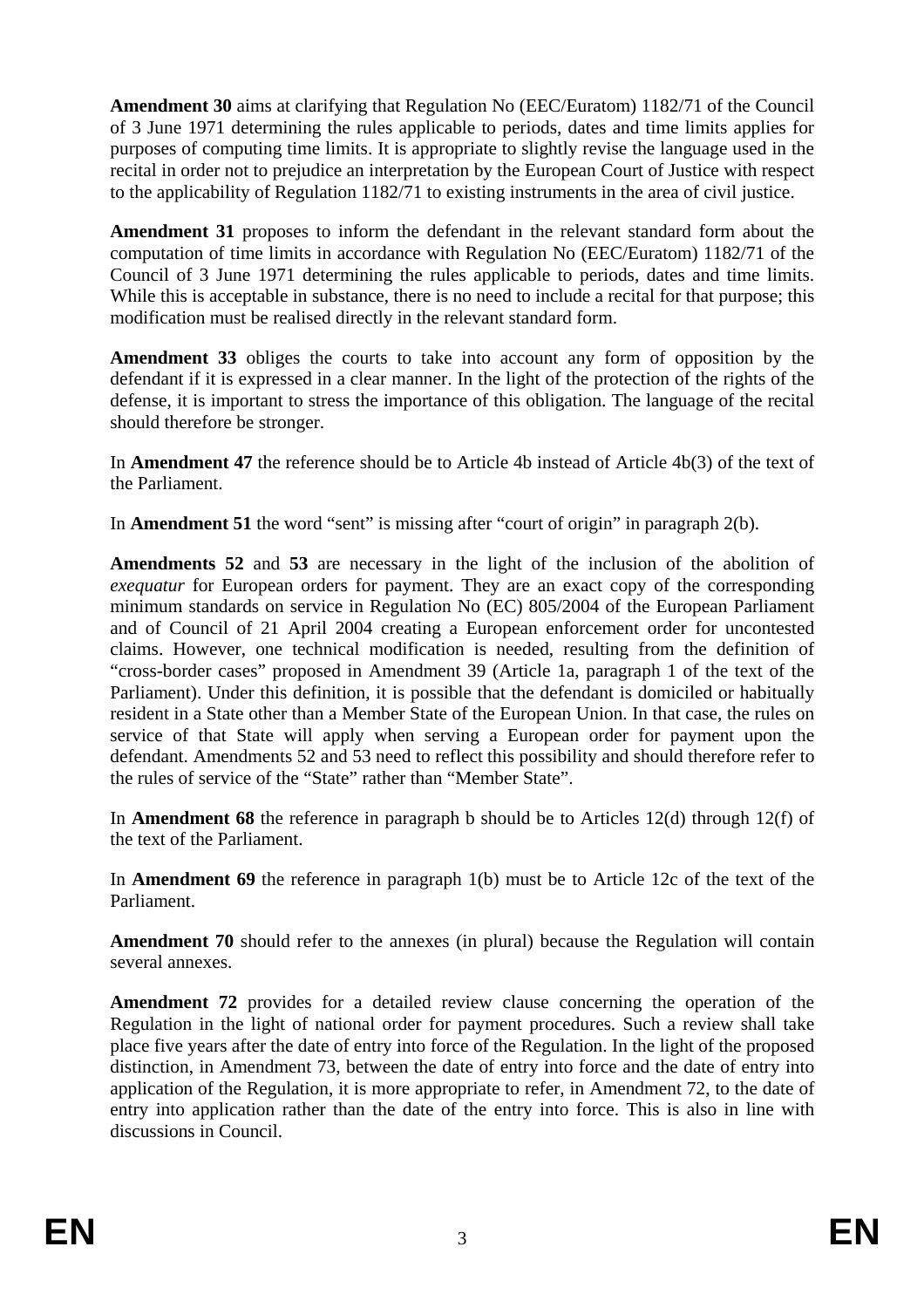**Amendment 30** aims at clarifying that Regulation No (EEC/Euratom) 1182/71 of the Council of 3 June 1971 determining the rules applicable to periods, dates and time limits applies for purposes of computing time limits. It is appropriate to slightly revise the language used in the recital in order not to prejudice an interpretation by the European Court of Justice with respect to the applicability of Regulation 1182/71 to existing instruments in the area of civil justice.

**Amendment 31** proposes to inform the defendant in the relevant standard form about the computation of time limits in accordance with Regulation No (EEC/Euratom) 1182/71 of the Council of 3 June 1971 determining the rules applicable to periods, dates and time limits. While this is acceptable in substance, there is no need to include a recital for that purpose; this modification must be realised directly in the relevant standard form.

**Amendment 33** obliges the courts to take into account any form of opposition by the defendant if it is expressed in a clear manner. In the light of the protection of the rights of the defense, it is important to stress the importance of this obligation. The language of the recital should therefore be stronger.

In **Amendment 47** the reference should be to Article 4b instead of Article 4b(3) of the text of the Parliament.

In **Amendment 51** the word "sent" is missing after "court of origin" in paragraph 2(b).

**Amendments 52** and **53** are necessary in the light of the inclusion of the abolition of *exequatur* for European orders for payment. They are an exact copy of the corresponding minimum standards on service in Regulation No (EC) 805/2004 of the European Parliament and of Council of 21 April 2004 creating a European enforcement order for uncontested claims. However, one technical modification is needed, resulting from the definition of "cross-border cases" proposed in Amendment 39 (Article 1a, paragraph 1 of the text of the Parliament). Under this definition, it is possible that the defendant is domiciled or habitually resident in a State other than a Member State of the European Union. In that case, the rules on service of that State will apply when serving a European order for payment upon the defendant. Amendments 52 and 53 need to reflect this possibility and should therefore refer to the rules of service of the "State" rather than "Member State".

In **Amendment 68** the reference in paragraph b should be to Articles 12(d) through 12(f) of the text of the Parliament.

In **Amendment 69** the reference in paragraph 1(b) must be to Article 12c of the text of the Parliament.

**Amendment 70** should refer to the annexes (in plural) because the Regulation will contain several annexes.

**Amendment 72** provides for a detailed review clause concerning the operation of the Regulation in the light of national order for payment procedures. Such a review shall take place five years after the date of entry into force of the Regulation. In the light of the proposed distinction, in Amendment 73, between the date of entry into force and the date of entry into application of the Regulation, it is more appropriate to refer, in Amendment 72, to the date of entry into application rather than the date of the entry into force. This is also in line with discussions in Council.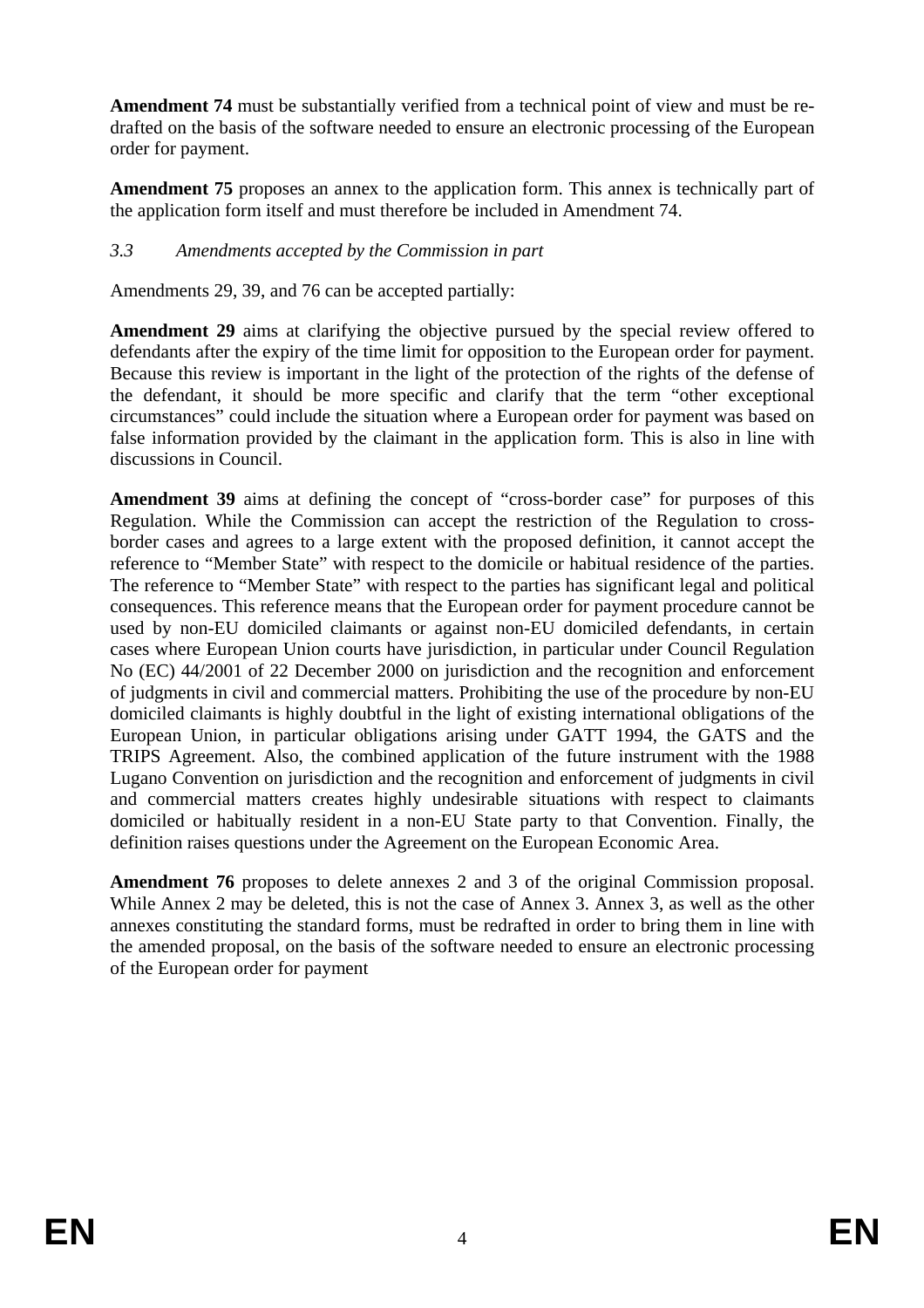**Amendment 74** must be substantially verified from a technical point of view and must be redrafted on the basis of the software needed to ensure an electronic processing of the European order for payment.

**Amendment 75** proposes an annex to the application form. This annex is technically part of the application form itself and must therefore be included in Amendment 74.

## *3.3 Amendments accepted by the Commission in part*

Amendments 29, 39, and 76 can be accepted partially:

**Amendment 29** aims at clarifying the objective pursued by the special review offered to defendants after the expiry of the time limit for opposition to the European order for payment. Because this review is important in the light of the protection of the rights of the defense of the defendant, it should be more specific and clarify that the term "other exceptional circumstances" could include the situation where a European order for payment was based on false information provided by the claimant in the application form. This is also in line with discussions in Council.

**Amendment 39** aims at defining the concept of "cross-border case" for purposes of this Regulation. While the Commission can accept the restriction of the Regulation to crossborder cases and agrees to a large extent with the proposed definition, it cannot accept the reference to "Member State" with respect to the domicile or habitual residence of the parties. The reference to "Member State" with respect to the parties has significant legal and political consequences. This reference means that the European order for payment procedure cannot be used by non-EU domiciled claimants or against non-EU domiciled defendants, in certain cases where European Union courts have jurisdiction, in particular under Council Regulation No (EC) 44/2001 of 22 December 2000 on jurisdiction and the recognition and enforcement of judgments in civil and commercial matters. Prohibiting the use of the procedure by non-EU domiciled claimants is highly doubtful in the light of existing international obligations of the European Union, in particular obligations arising under GATT 1994, the GATS and the TRIPS Agreement. Also, the combined application of the future instrument with the 1988 Lugano Convention on jurisdiction and the recognition and enforcement of judgments in civil and commercial matters creates highly undesirable situations with respect to claimants domiciled or habitually resident in a non-EU State party to that Convention. Finally, the definition raises questions under the Agreement on the European Economic Area.

**Amendment 76** proposes to delete annexes 2 and 3 of the original Commission proposal. While Annex 2 may be deleted, this is not the case of Annex 3. Annex 3, as well as the other annexes constituting the standard forms, must be redrafted in order to bring them in line with the amended proposal, on the basis of the software needed to ensure an electronic processing of the European order for payment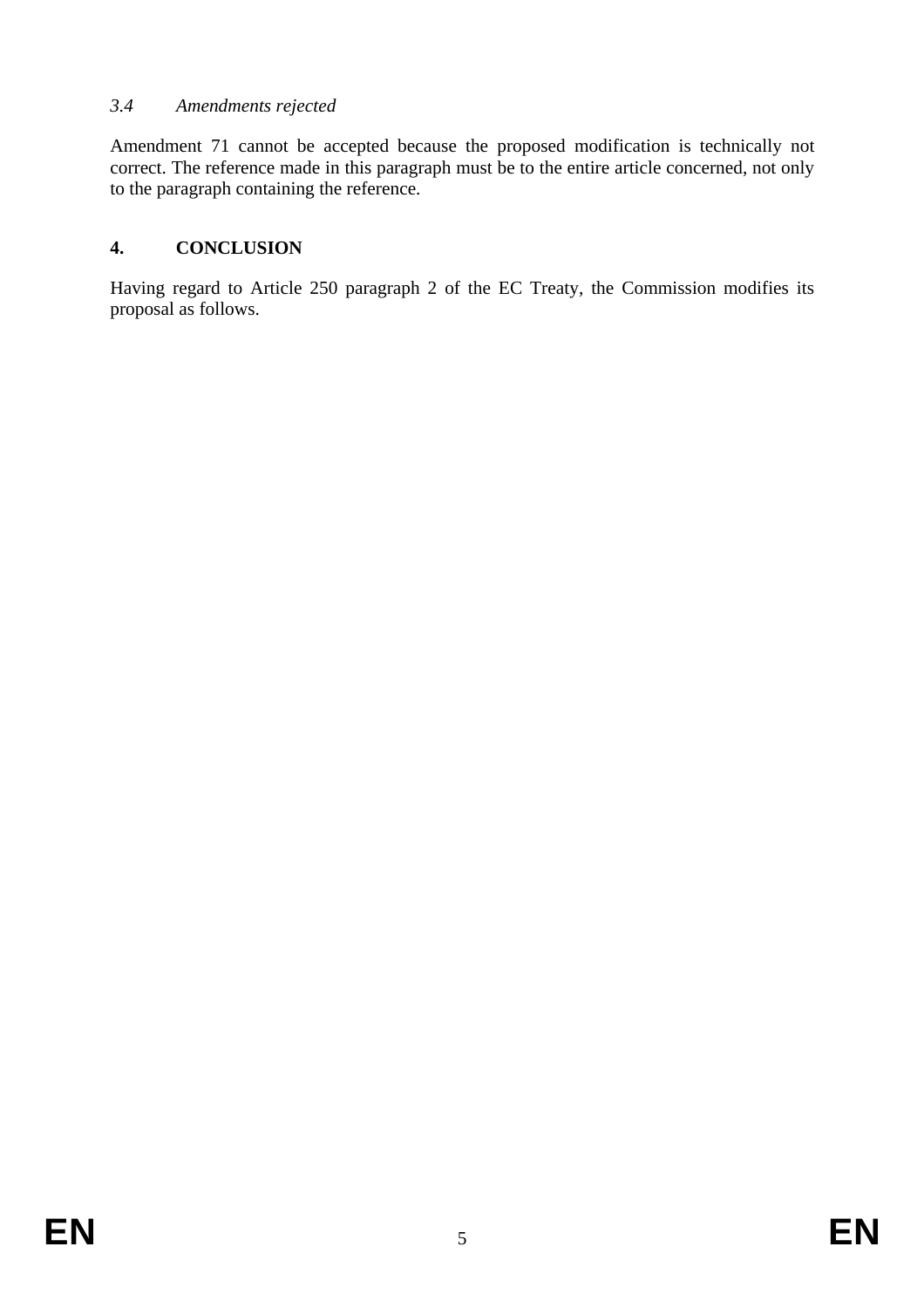## *3.4 Amendments rejected*

Amendment 71 cannot be accepted because the proposed modification is technically not correct. The reference made in this paragraph must be to the entire article concerned, not only to the paragraph containing the reference.

## **4. CONCLUSION**

Having regard to Article 250 paragraph 2 of the EC Treaty, the Commission modifies its proposal as follows.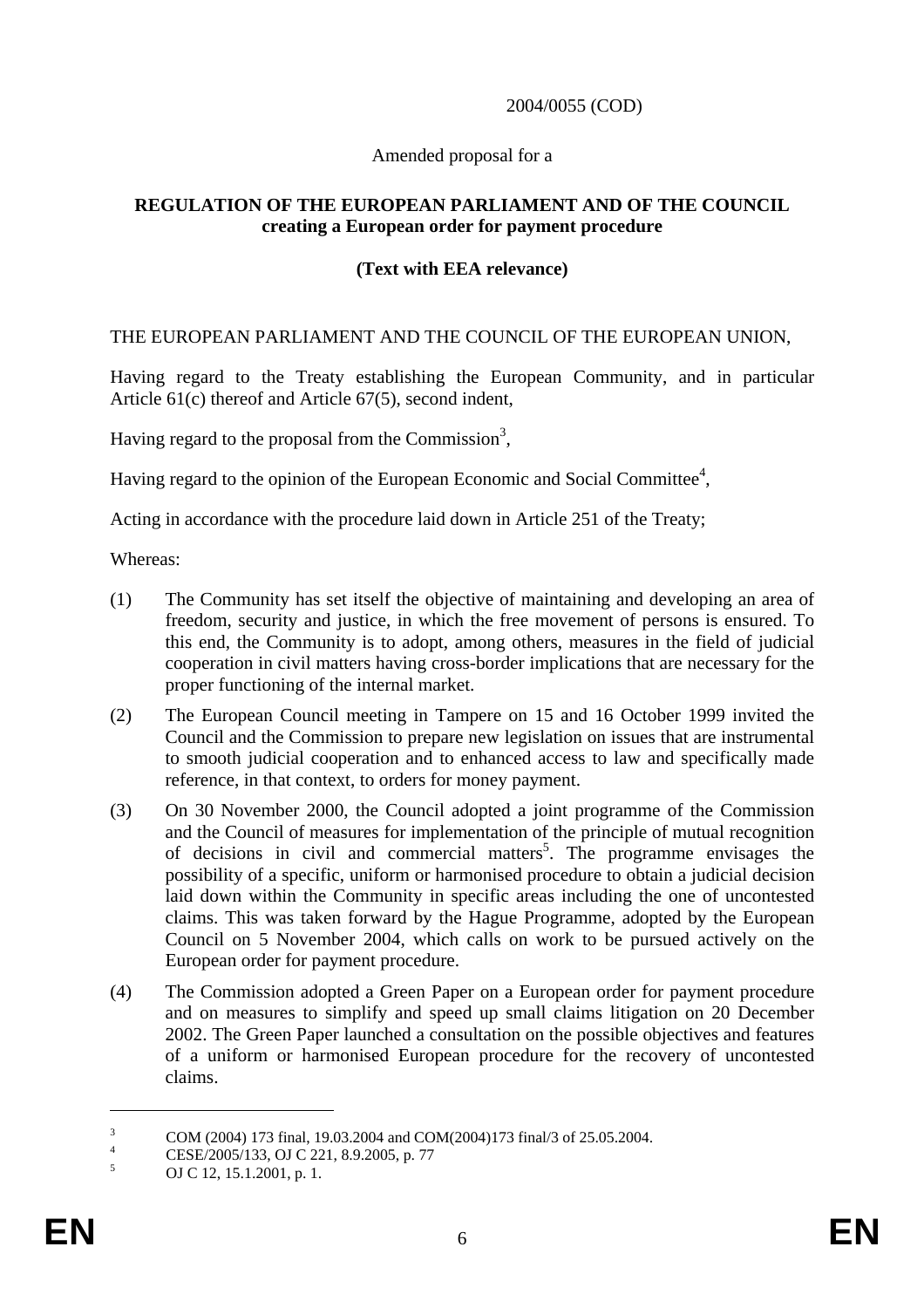## 2004/0055 (COD)

## Amended proposal for a

## **REGULATION OF THE EUROPEAN PARLIAMENT AND OF THE COUNCIL creating a European order for payment procedure**

## **(Text with EEA relevance)**

### THE EUROPEAN PARLIAMENT AND THE COUNCIL OF THE EUROPEAN UNION,

Having regard to the Treaty establishing the European Community, and in particular Article 61(c) thereof and Article 67(5), second indent,

Having regard to the proposal from the Commission<sup>3</sup>,

Having regard to the opinion of the European Economic and Social Committee<sup>4</sup>,

Acting in accordance with the procedure laid down in Article 251 of the Treaty;

Whereas:

- (1) The Community has set itself the objective of maintaining and developing an area of freedom, security and justice, in which the free movement of persons is ensured. To this end, the Community is to adopt, among others, measures in the field of judicial cooperation in civil matters having cross-border implications that are necessary for the proper functioning of the internal market.
- (2) The European Council meeting in Tampere on 15 and 16 October 1999 invited the Council and the Commission to prepare new legislation on issues that are instrumental to smooth judicial cooperation and to enhanced access to law and specifically made reference, in that context, to orders for money payment.
- (3) On 30 November 2000, the Council adopted a joint programme of the Commission and the Council of measures for implementation of the principle of mutual recognition of decisions in civil and commercial matters<sup>5</sup>. The programme envisages the possibility of a specific, uniform or harmonised procedure to obtain a judicial decision laid down within the Community in specific areas including the one of uncontested claims. This was taken forward by the Hague Programme, adopted by the European Council on 5 November 2004, which calls on work to be pursued actively on the European order for payment procedure.
- (4) The Commission adopted a Green Paper on a European order for payment procedure and on measures to simplify and speed up small claims litigation on 20 December 2002. The Green Paper launched a consultation on the possible objectives and features of a uniform or harmonised European procedure for the recovery of uncontested claims.

<sup>3</sup> COM (2004) 173 final, 19.03.2004 and COM(2004)173 final/3 of 25.05.2004. 4

CESE/2005/133, OJ C 221, 8.9.2005, p. 77

<sup>5</sup> OJ C 12, 15.1.2001, p. 1.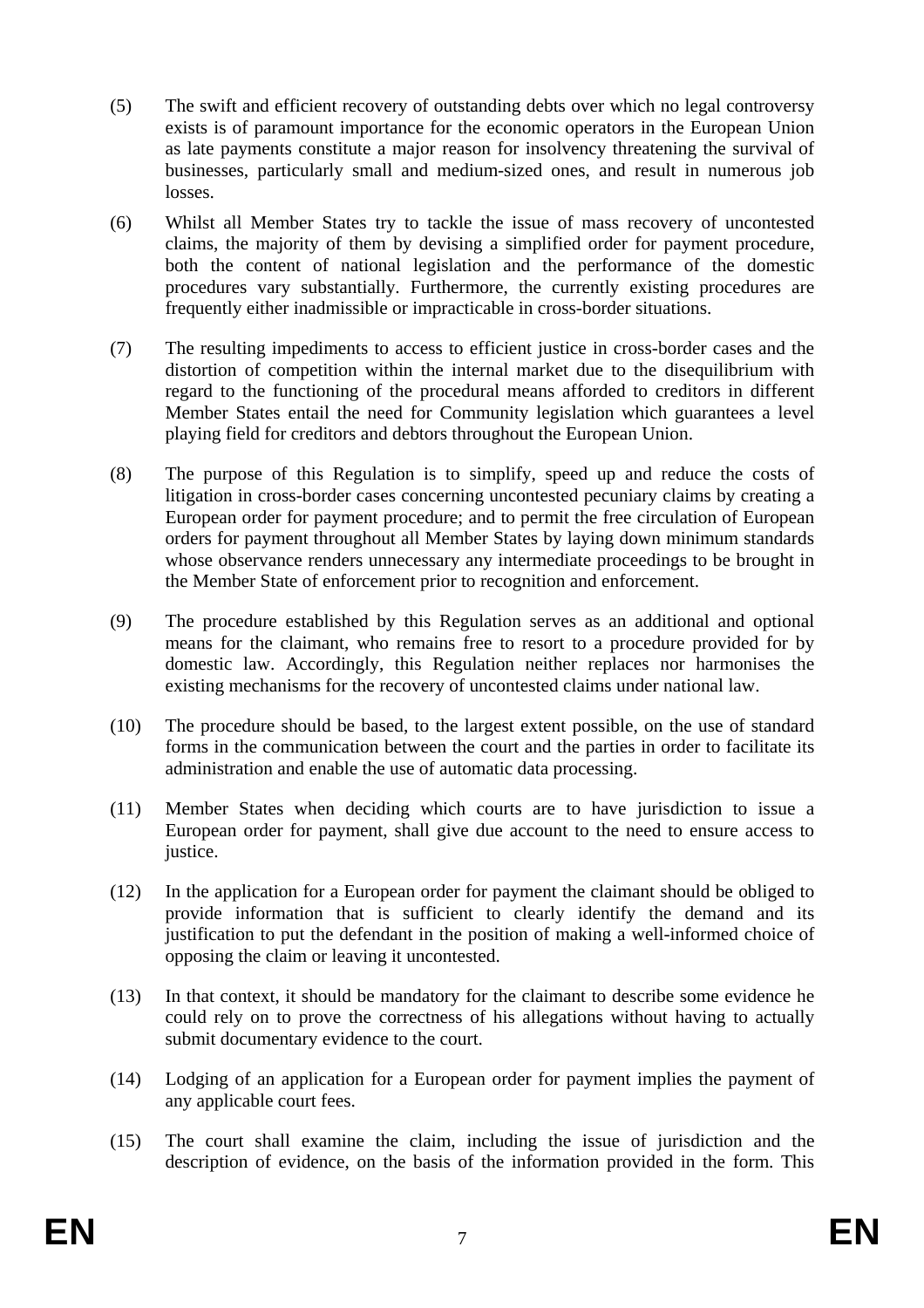- (5) The swift and efficient recovery of outstanding debts over which no legal controversy exists is of paramount importance for the economic operators in the European Union as late payments constitute a major reason for insolvency threatening the survival of businesses, particularly small and medium-sized ones, and result in numerous job losses.
- (6) Whilst all Member States try to tackle the issue of mass recovery of uncontested claims, the majority of them by devising a simplified order for payment procedure, both the content of national legislation and the performance of the domestic procedures vary substantially. Furthermore, the currently existing procedures are frequently either inadmissible or impracticable in cross-border situations.
- (7) The resulting impediments to access to efficient justice in cross-border cases and the distortion of competition within the internal market due to the disequilibrium with regard to the functioning of the procedural means afforded to creditors in different Member States entail the need for Community legislation which guarantees a level playing field for creditors and debtors throughout the European Union.
- (8) The purpose of this Regulation is to simplify, speed up and reduce the costs of litigation in cross-border cases concerning uncontested pecuniary claims by creating a European order for payment procedure; and to permit the free circulation of European orders for payment throughout all Member States by laying down minimum standards whose observance renders unnecessary any intermediate proceedings to be brought in the Member State of enforcement prior to recognition and enforcement.
- (9) The procedure established by this Regulation serves as an additional and optional means for the claimant, who remains free to resort to a procedure provided for by domestic law. Accordingly, this Regulation neither replaces nor harmonises the existing mechanisms for the recovery of uncontested claims under national law.
- (10) The procedure should be based, to the largest extent possible, on the use of standard forms in the communication between the court and the parties in order to facilitate its administration and enable the use of automatic data processing.
- (11) Member States when deciding which courts are to have jurisdiction to issue a European order for payment, shall give due account to the need to ensure access to justice.
- (12) In the application for a European order for payment the claimant should be obliged to provide information that is sufficient to clearly identify the demand and its justification to put the defendant in the position of making a well-informed choice of opposing the claim or leaving it uncontested.
- (13) In that context, it should be mandatory for the claimant to describe some evidence he could rely on to prove the correctness of his allegations without having to actually submit documentary evidence to the court.
- (14) Lodging of an application for a European order for payment implies the payment of any applicable court fees.
- (15) The court shall examine the claim, including the issue of jurisdiction and the description of evidence, on the basis of the information provided in the form. This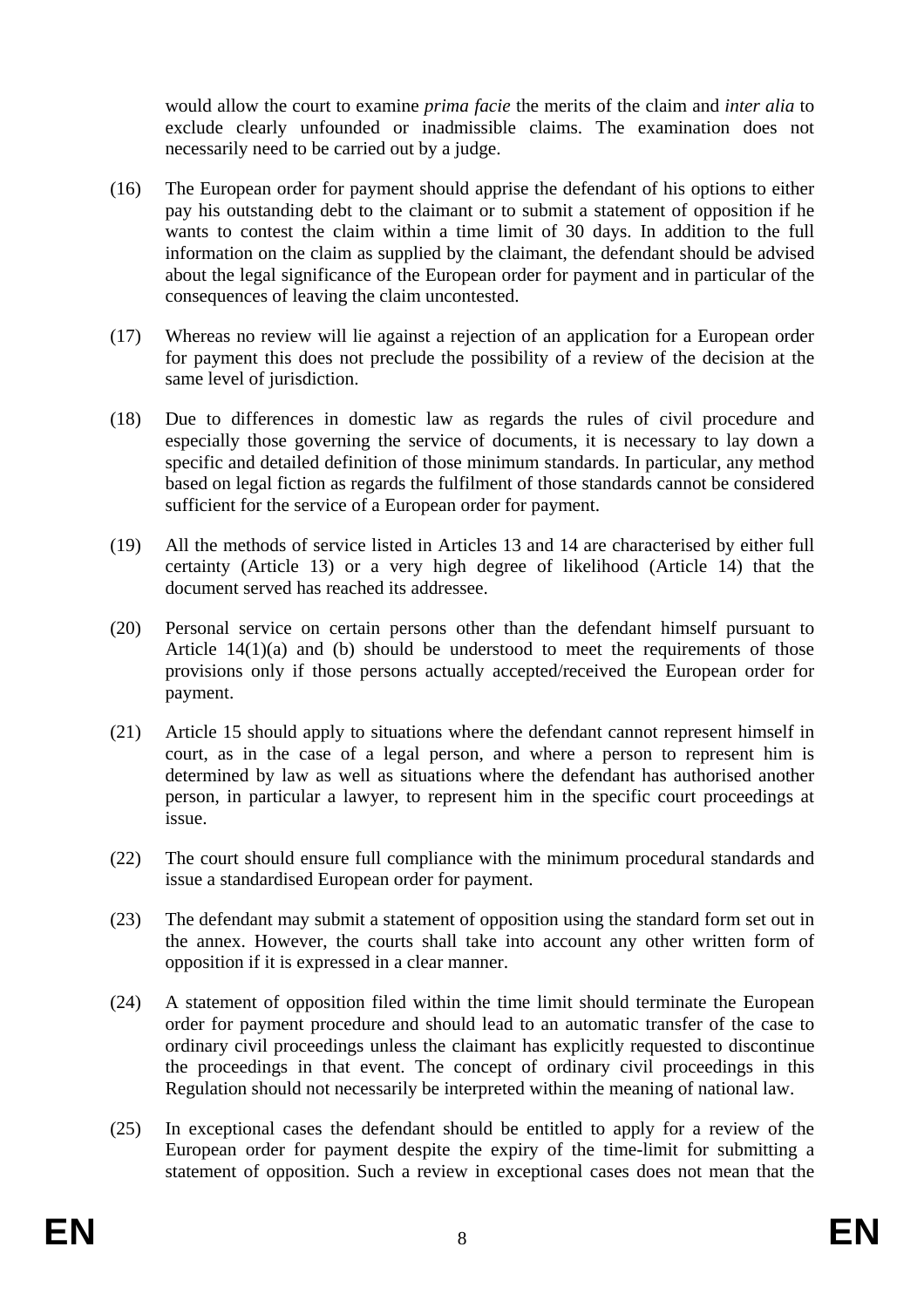would allow the court to examine *prima facie* the merits of the claim and *inter alia* to exclude clearly unfounded or inadmissible claims. The examination does not necessarily need to be carried out by a judge.

- (16) The European order for payment should apprise the defendant of his options to either pay his outstanding debt to the claimant or to submit a statement of opposition if he wants to contest the claim within a time limit of 30 days. In addition to the full information on the claim as supplied by the claimant, the defendant should be advised about the legal significance of the European order for payment and in particular of the consequences of leaving the claim uncontested.
- (17) Whereas no review will lie against a rejection of an application for a European order for payment this does not preclude the possibility of a review of the decision at the same level of jurisdiction.
- (18) Due to differences in domestic law as regards the rules of civil procedure and especially those governing the service of documents, it is necessary to lay down a specific and detailed definition of those minimum standards. In particular, any method based on legal fiction as regards the fulfilment of those standards cannot be considered sufficient for the service of a European order for payment.
- (19) All the methods of service listed in Articles 13 and 14 are characterised by either full certainty (Article 13) or a very high degree of likelihood (Article 14) that the document served has reached its addressee.
- (20) Personal service on certain persons other than the defendant himself pursuant to Article  $14(1)(a)$  and (b) should be understood to meet the requirements of those provisions only if those persons actually accepted/received the European order for payment.
- (21) Article 15 should apply to situations where the defendant cannot represent himself in court, as in the case of a legal person, and where a person to represent him is determined by law as well as situations where the defendant has authorised another person, in particular a lawyer, to represent him in the specific court proceedings at issue.
- (22) The court should ensure full compliance with the minimum procedural standards and issue a standardised European order for payment.
- (23) The defendant may submit a statement of opposition using the standard form set out in the annex. However, the courts shall take into account any other written form of opposition if it is expressed in a clear manner.
- (24) A statement of opposition filed within the time limit should terminate the European order for payment procedure and should lead to an automatic transfer of the case to ordinary civil proceedings unless the claimant has explicitly requested to discontinue the proceedings in that event. The concept of ordinary civil proceedings in this Regulation should not necessarily be interpreted within the meaning of national law.
- (25) In exceptional cases the defendant should be entitled to apply for a review of the European order for payment despite the expiry of the time-limit for submitting a statement of opposition. Such a review in exceptional cases does not mean that the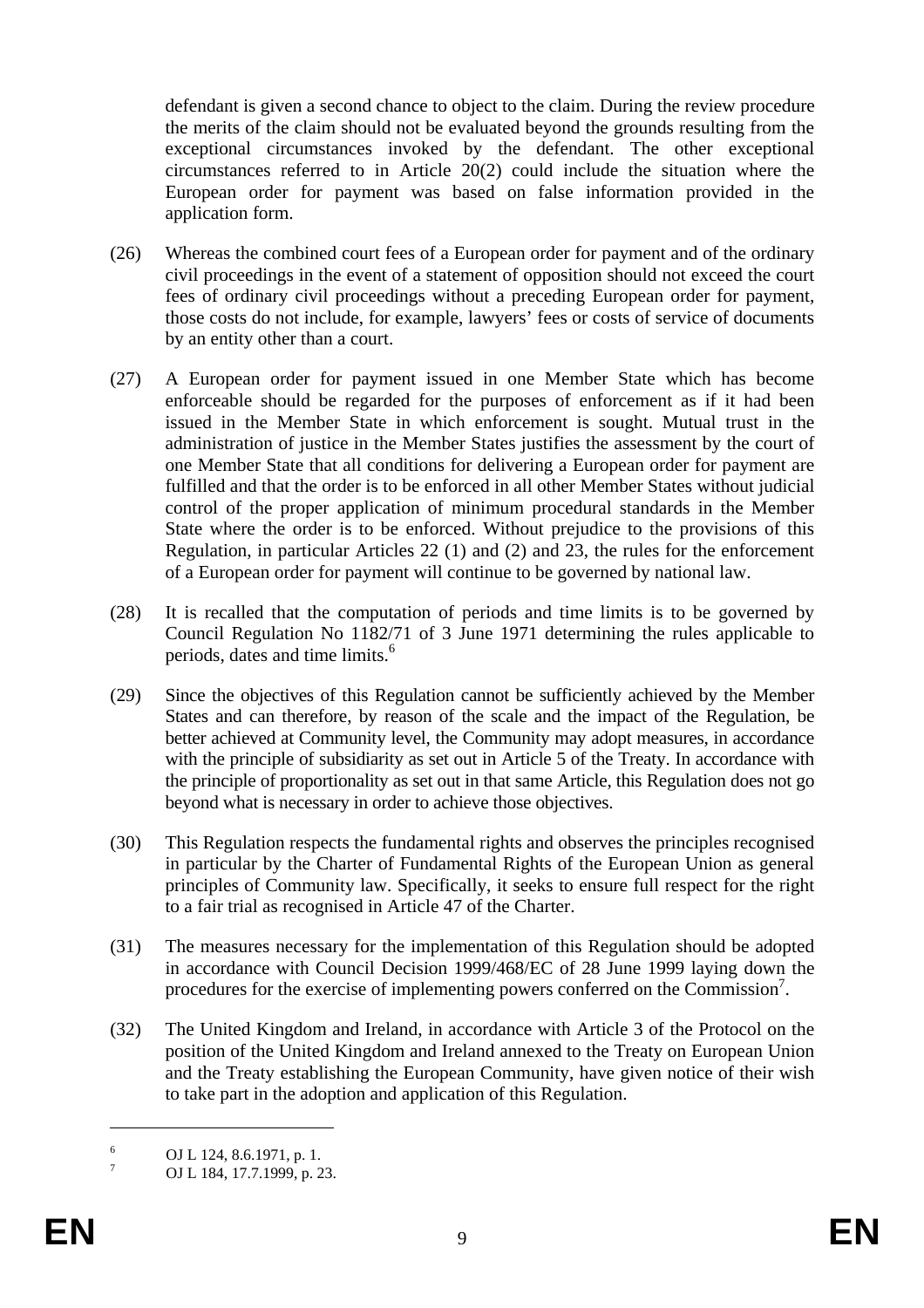defendant is given a second chance to object to the claim. During the review procedure the merits of the claim should not be evaluated beyond the grounds resulting from the exceptional circumstances invoked by the defendant. The other exceptional circumstances referred to in Article 20(2) could include the situation where the European order for payment was based on false information provided in the application form.

- (26) Whereas the combined court fees of a European order for payment and of the ordinary civil proceedings in the event of a statement of opposition should not exceed the court fees of ordinary civil proceedings without a preceding European order for payment, those costs do not include, for example, lawyers' fees or costs of service of documents by an entity other than a court.
- (27) A European order for payment issued in one Member State which has become enforceable should be regarded for the purposes of enforcement as if it had been issued in the Member State in which enforcement is sought. Mutual trust in the administration of justice in the Member States justifies the assessment by the court of one Member State that all conditions for delivering a European order for payment are fulfilled and that the order is to be enforced in all other Member States without judicial control of the proper application of minimum procedural standards in the Member State where the order is to be enforced. Without prejudice to the provisions of this Regulation, in particular Articles 22 (1) and (2) and 23, the rules for the enforcement of a European order for payment will continue to be governed by national law.
- (28) It is recalled that the computation of periods and time limits is to be governed by Council Regulation No 1182/71 of 3 June 1971 determining the rules applicable to periods, dates and time limits.<sup>6</sup>
- (29) Since the objectives of this Regulation cannot be sufficiently achieved by the Member States and can therefore, by reason of the scale and the impact of the Regulation, be better achieved at Community level, the Community may adopt measures, in accordance with the principle of subsidiarity as set out in Article 5 of the Treaty. In accordance with the principle of proportionality as set out in that same Article, this Regulation does not go beyond what is necessary in order to achieve those objectives.
- (30) This Regulation respects the fundamental rights and observes the principles recognised in particular by the Charter of Fundamental Rights of the European Union as general principles of Community law. Specifically, it seeks to ensure full respect for the right to a fair trial as recognised in Article 47 of the Charter.
- (31) The measures necessary for the implementation of this Regulation should be adopted in accordance with Council Decision 1999/468/EC of 28 June 1999 laying down the procedures for the exercise of implementing powers conferred on the Commission<sup>7</sup>.
- (32) The United Kingdom and Ireland, in accordance with Article 3 of the Protocol on the position of the United Kingdom and Ireland annexed to the Treaty on European Union and the Treaty establishing the European Community, have given notice of their wish to take part in the adoption and application of this Regulation.

<sup>6</sup> OJ L 124, 8.6.1971, p. 1.

<sup>7</sup> OJ L 184, 17.7.1999, p. 23.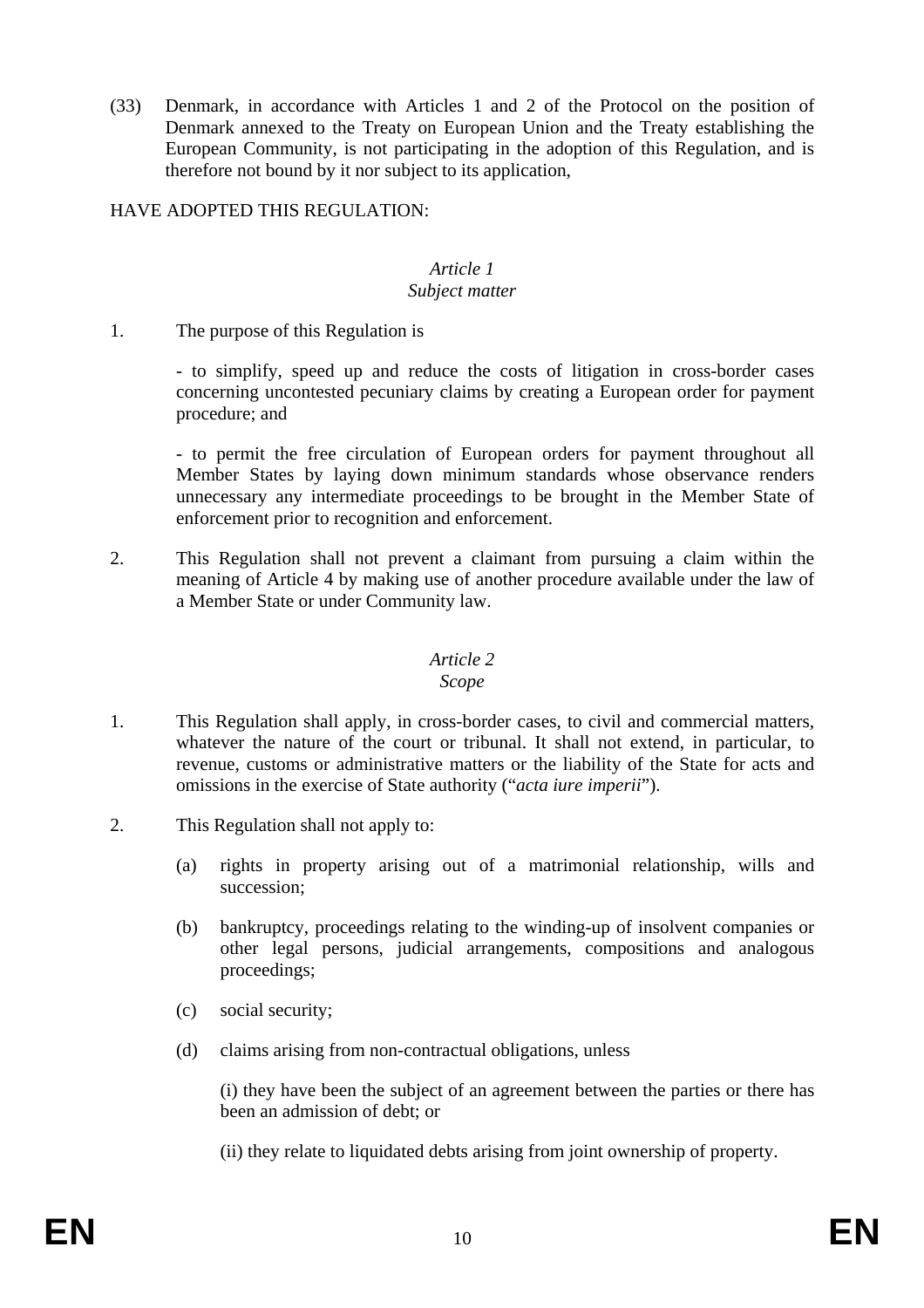(33) Denmark, in accordance with Articles 1 and 2 of the Protocol on the position of Denmark annexed to the Treaty on European Union and the Treaty establishing the European Community, is not participating in the adoption of this Regulation, and is therefore not bound by it nor subject to its application,

HAVE ADOPTED THIS REGULATION:

# *Article 1*

## *Subject matter*

1. The purpose of this Regulation is

- to simplify, speed up and reduce the costs of litigation in cross-border cases concerning uncontested pecuniary claims by creating a European order for payment procedure; and

- to permit the free circulation of European orders for payment throughout all Member States by laying down minimum standards whose observance renders unnecessary any intermediate proceedings to be brought in the Member State of enforcement prior to recognition and enforcement.

2. This Regulation shall not prevent a claimant from pursuing a claim within the meaning of Article 4 by making use of another procedure available under the law of a Member State or under Community law.

# *Article 2*

# *Scope*

- 1. This Regulation shall apply, in cross-border cases, to civil and commercial matters, whatever the nature of the court or tribunal. It shall not extend, in particular, to revenue, customs or administrative matters or the liability of the State for acts and omissions in the exercise of State authority ("*acta iure imperii*").
- 2. This Regulation shall not apply to:
	- (a) rights in property arising out of a matrimonial relationship, wills and succession;
	- (b) bankruptcy, proceedings relating to the winding-up of insolvent companies or other legal persons, judicial arrangements, compositions and analogous proceedings;
	- (c) social security;
	- (d) claims arising from non-contractual obligations, unless

 (i) they have been the subject of an agreement between the parties or there has been an admission of debt; or

(ii) they relate to liquidated debts arising from joint ownership of property.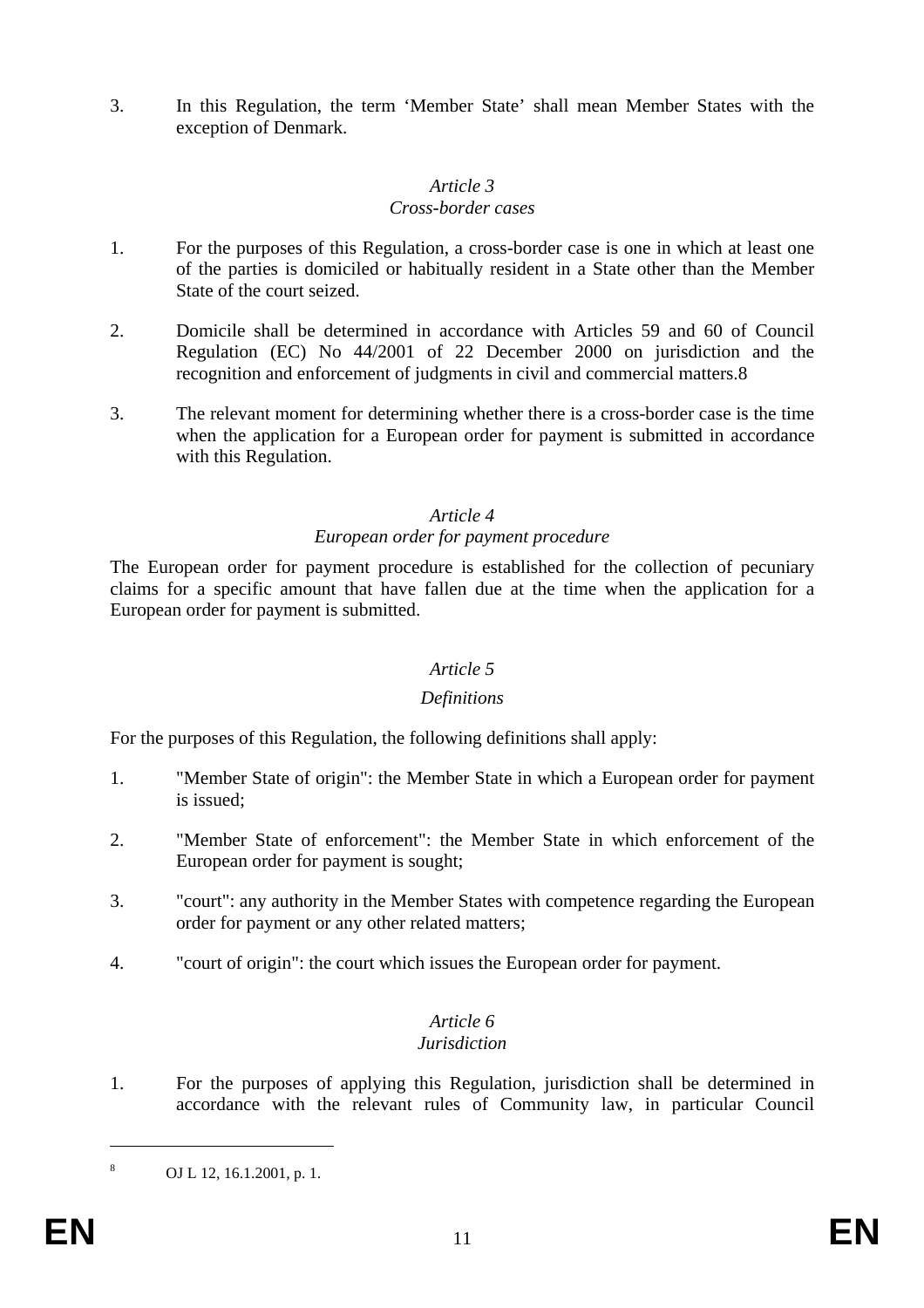3. In this Regulation, the term 'Member State' shall mean Member States with the exception of Denmark.

## *Article 3*

## *Cross-border cases*

- 1. For the purposes of this Regulation, a cross-border case is one in which at least one of the parties is domiciled or habitually resident in a State other than the Member State of the court seized.
- 2. Domicile shall be determined in accordance with Articles 59 and 60 of Council Regulation (EC) No 44/2001 of 22 December 2000 on jurisdiction and the recognition and enforcement of judgments in civil and commercial matters.8
- 3. The relevant moment for determining whether there is a cross-border case is the time when the application for a European order for payment is submitted in accordance with this Regulation.

## *Article 4*

## *European order for payment procedure*

The European order for payment procedure is established for the collection of pecuniary claims for a specific amount that have fallen due at the time when the application for a European order for payment is submitted.

# *Article 5*

## *Definitions*

For the purposes of this Regulation, the following definitions shall apply:

- 1. "Member State of origin": the Member State in which a European order for payment is issued;
- 2. "Member State of enforcement": the Member State in which enforcement of the European order for payment is sought;
- 3. "court": any authority in the Member States with competence regarding the European order for payment or any other related matters;
- 4. "court of origin": the court which issues the European order for payment.

# *Article 6*

# *Jurisdiction*

1. For the purposes of applying this Regulation, jurisdiction shall be determined in accordance with the relevant rules of Community law, in particular Council

OJ L 12, 16.1.2001, p. 1.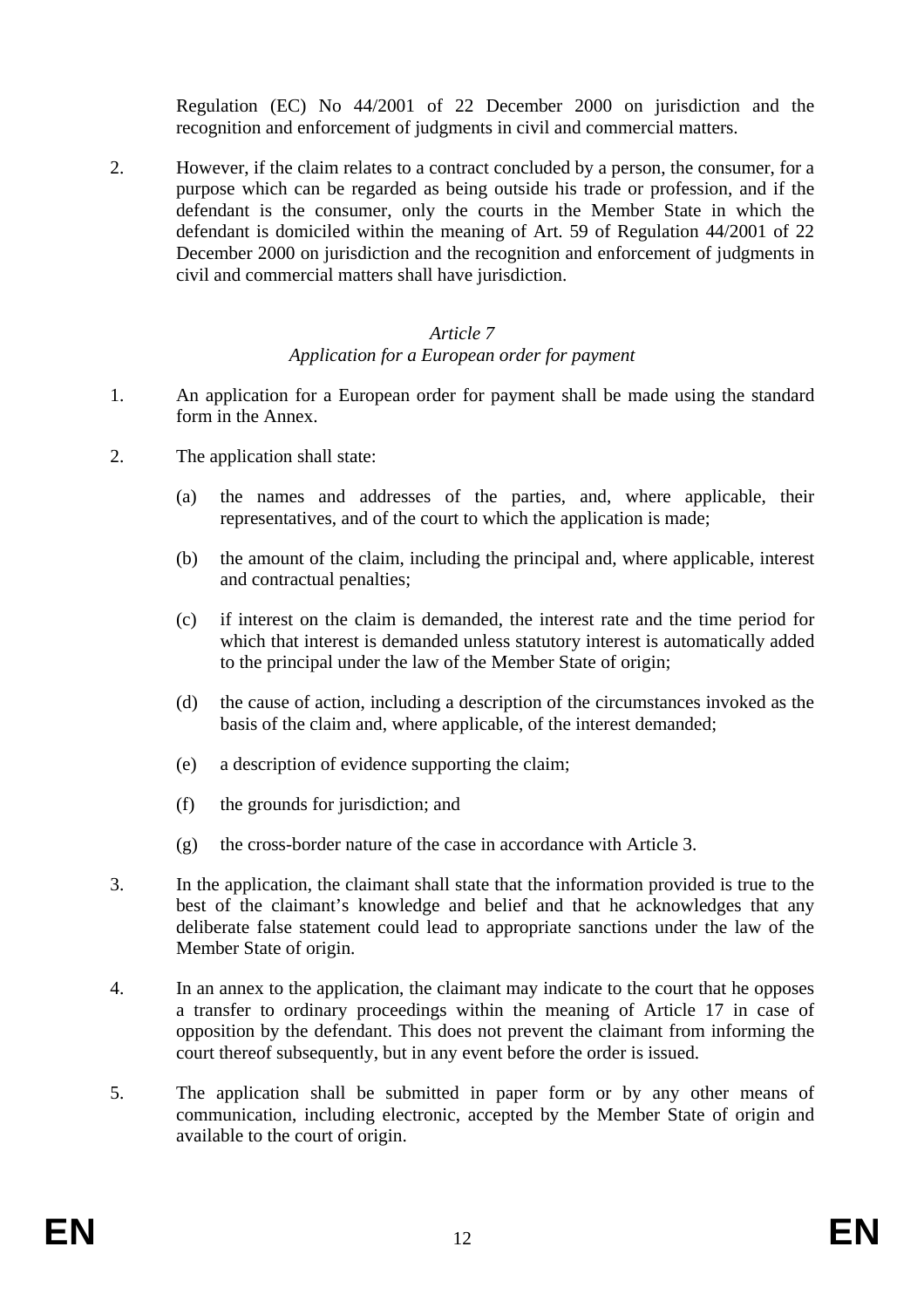Regulation (EC) No 44/2001 of 22 December 2000 on jurisdiction and the recognition and enforcement of judgments in civil and commercial matters.

2. However, if the claim relates to a contract concluded by a person, the consumer, for a purpose which can be regarded as being outside his trade or profession, and if the defendant is the consumer, only the courts in the Member State in which the defendant is domiciled within the meaning of Art. 59 of Regulation 44/2001 of 22 December 2000 on jurisdiction and the recognition and enforcement of judgments in civil and commercial matters shall have jurisdiction.

#### *Article 7 Application for a European order for payment*

- 1. An application for a European order for payment shall be made using the standard form in the Annex.
- 2. The application shall state:
	- (a) the names and addresses of the parties, and, where applicable, their representatives, and of the court to which the application is made;
	- (b) the amount of the claim, including the principal and, where applicable, interest and contractual penalties;
	- (c) if interest on the claim is demanded, the interest rate and the time period for which that interest is demanded unless statutory interest is automatically added to the principal under the law of the Member State of origin;
	- (d) the cause of action, including a description of the circumstances invoked as the basis of the claim and, where applicable, of the interest demanded;
	- (e) a description of evidence supporting the claim;
	- (f) the grounds for jurisdiction; and
	- (g) the cross-border nature of the case in accordance with Article 3.
- 3. In the application, the claimant shall state that the information provided is true to the best of the claimant's knowledge and belief and that he acknowledges that any deliberate false statement could lead to appropriate sanctions under the law of the Member State of origin.
- 4. In an annex to the application, the claimant may indicate to the court that he opposes a transfer to ordinary proceedings within the meaning of Article 17 in case of opposition by the defendant. This does not prevent the claimant from informing the court thereof subsequently, but in any event before the order is issued.
- 5. The application shall be submitted in paper form or by any other means of communication, including electronic, accepted by the Member State of origin and available to the court of origin.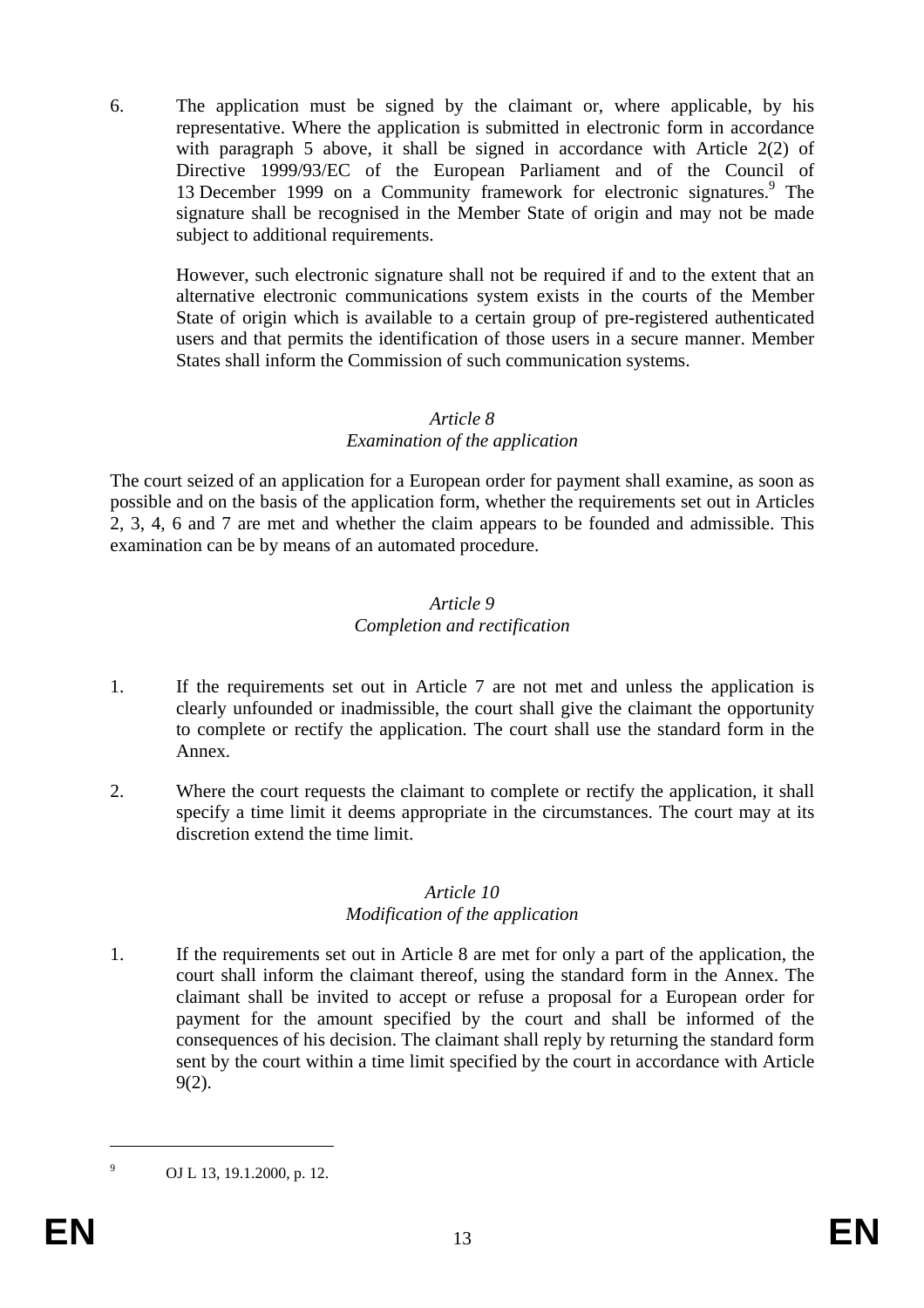6. The application must be signed by the claimant or, where applicable, by his representative. Where the application is submitted in electronic form in accordance with paragraph 5 above, it shall be signed in accordance with Article 2(2) of Directive 1999/93/EC of the European Parliament and of the Council of 13 December 1999 on a Community framework for electronic signatures.<sup>9</sup> The signature shall be recognised in the Member State of origin and may not be made subject to additional requirements.

However, such electronic signature shall not be required if and to the extent that an alternative electronic communications system exists in the courts of the Member State of origin which is available to a certain group of pre-registered authenticated users and that permits the identification of those users in a secure manner. Member States shall inform the Commission of such communication systems.

### *Article 8*

### *Examination of the application*

The court seized of an application for a European order for payment shall examine, as soon as possible and on the basis of the application form, whether the requirements set out in Articles 2, 3, 4, 6 and 7 are met and whether the claim appears to be founded and admissible. This examination can be by means of an automated procedure.

#### *Article 9 Completion and rectification*

- 1. If the requirements set out in Article 7 are not met and unless the application is clearly unfounded or inadmissible, the court shall give the claimant the opportunity to complete or rectify the application. The court shall use the standard form in the Annex.
- 2. Where the court requests the claimant to complete or rectify the application, it shall specify a time limit it deems appropriate in the circumstances. The court may at its discretion extend the time limit.

## *Article 10*

## *Modification of the application*

1. If the requirements set out in Article 8 are met for only a part of the application, the court shall inform the claimant thereof, using the standard form in the Annex. The claimant shall be invited to accept or refuse a proposal for a European order for payment for the amount specified by the court and shall be informed of the consequences of his decision. The claimant shall reply by returning the standard form sent by the court within a time limit specified by the court in accordance with Article 9(2).

OJ L 13, 19.1.2000, p. 12.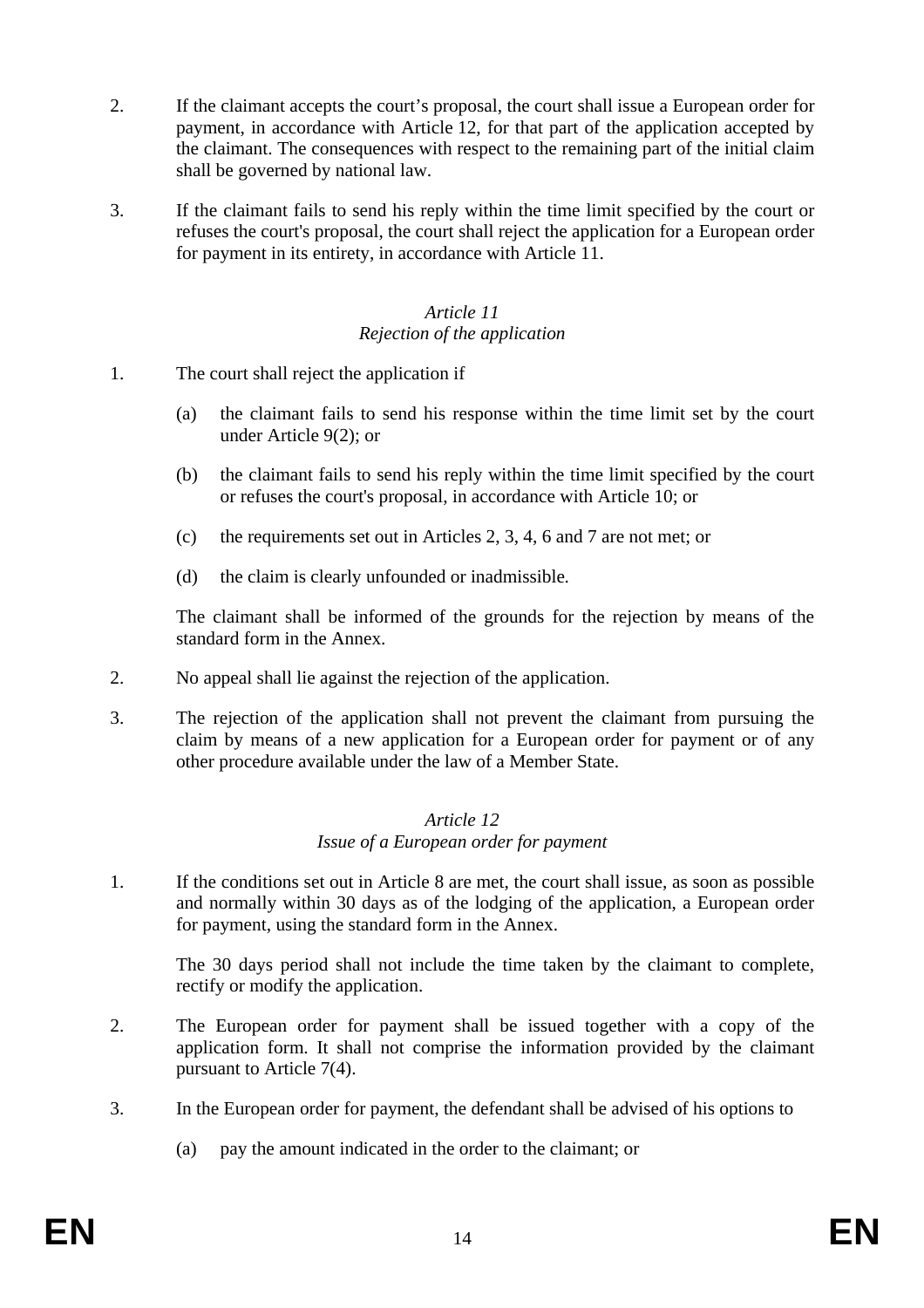- 2. If the claimant accepts the court's proposal, the court shall issue a European order for payment, in accordance with Article 12, for that part of the application accepted by the claimant. The consequences with respect to the remaining part of the initial claim shall be governed by national law.
- 3. If the claimant fails to send his reply within the time limit specified by the court or refuses the court's proposal, the court shall reject the application for a European order for payment in its entirety, in accordance with Article 11.

#### *Article 11 Rejection of the application*

- 1. The court shall reject the application if
	- (a) the claimant fails to send his response within the time limit set by the court under Article 9(2); or
	- (b) the claimant fails to send his reply within the time limit specified by the court or refuses the court's proposal, in accordance with Article 10; or
	- (c) the requirements set out in Articles 2, 3, 4, 6 and 7 are not met; or
	- (d) the claim is clearly unfounded or inadmissible*.*

The claimant shall be informed of the grounds for the rejection by means of the standard form in the Annex.

- 2. No appeal shall lie against the rejection of the application.
- 3. The rejection of the application shall not prevent the claimant from pursuing the claim by means of a new application for a European order for payment or of any other procedure available under the law of a Member State.

### *Article 12 Issue of a European order for payment*

1. If the conditions set out in Article 8 are met, the court shall issue, as soon as possible and normally within 30 days as of the lodging of the application, a European order for payment, using the standard form in the Annex.

The 30 days period shall not include the time taken by the claimant to complete, rectify or modify the application.

- 2. The European order for payment shall be issued together with a copy of the application form. It shall not comprise the information provided by the claimant pursuant to Article 7(4).
- 3. In the European order for payment, the defendant shall be advised of his options to
	- (a) pay the amount indicated in the order to the claimant; or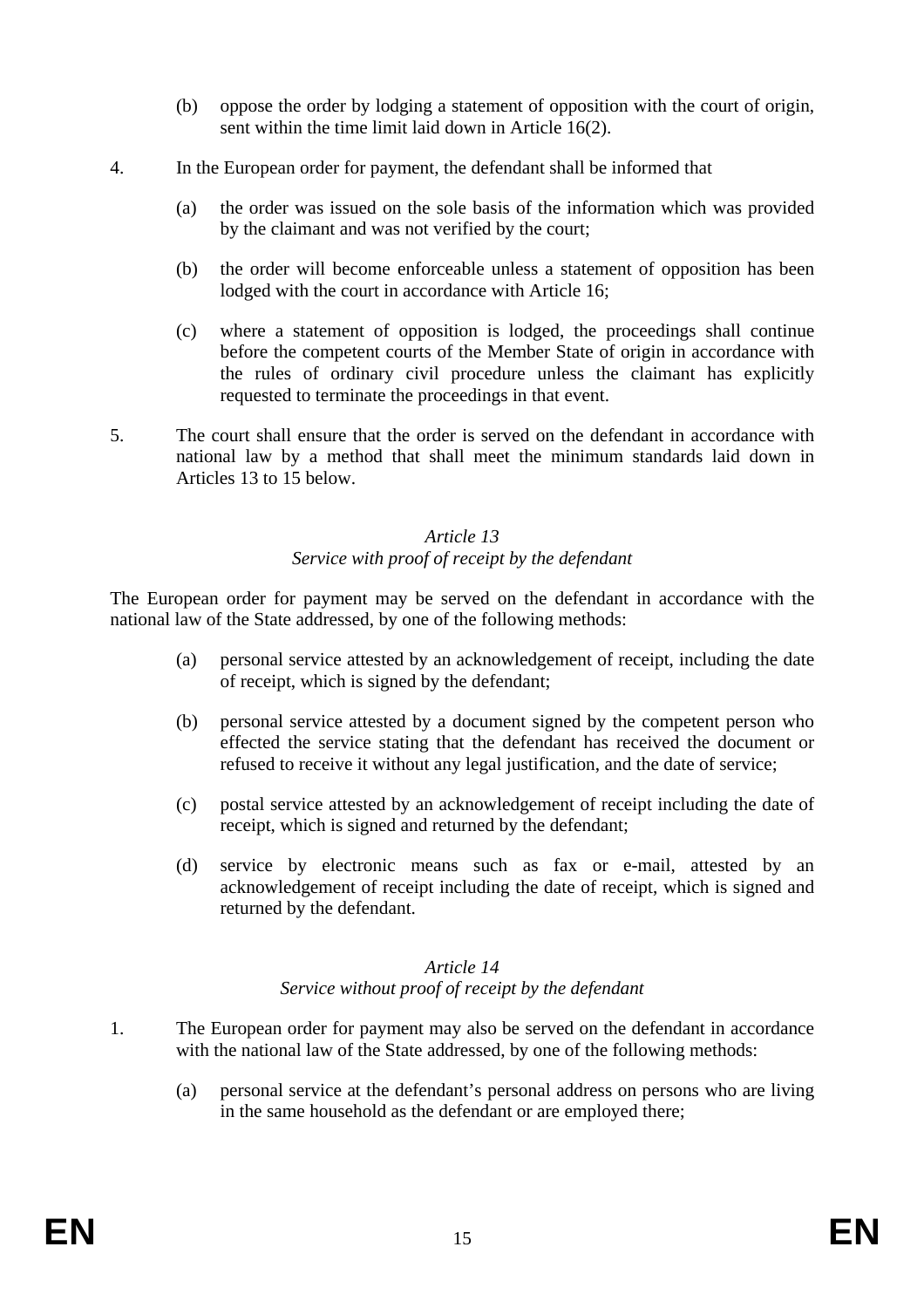- (b) oppose the order by lodging a statement of opposition with the court of origin, sent within the time limit laid down in Article 16(2).
- 4. In the European order for payment, the defendant shall be informed that
	- (a) the order was issued on the sole basis of the information which was provided by the claimant and was not verified by the court;
	- (b) the order will become enforceable unless a statement of opposition has been lodged with the court in accordance with Article 16;
	- (c) where a statement of opposition is lodged, the proceedings shall continue before the competent courts of the Member State of origin in accordance with the rules of ordinary civil procedure unless the claimant has explicitly requested to terminate the proceedings in that event.
- 5. The court shall ensure that the order is served on the defendant in accordance with national law by a method that shall meet the minimum standards laid down in Articles 13 to 15 below.

## *Article 13 Service with proof of receipt by the defendant*

The European order for payment may be served on the defendant in accordance with the national law of the State addressed, by one of the following methods:

- (a) personal service attested by an acknowledgement of receipt, including the date of receipt, which is signed by the defendant;
- (b) personal service attested by a document signed by the competent person who effected the service stating that the defendant has received the document or refused to receive it without any legal justification, and the date of service;
- (c) postal service attested by an acknowledgement of receipt including the date of receipt, which is signed and returned by the defendant;
- (d) service by electronic means such as fax or e-mail, attested by an acknowledgement of receipt including the date of receipt, which is signed and returned by the defendant.

#### *Article 14 Service without proof of receipt by the defendant*

- 1. The European order for payment may also be served on the defendant in accordance with the national law of the State addressed, by one of the following methods:
	- (a) personal service at the defendant's personal address on persons who are living in the same household as the defendant or are employed there;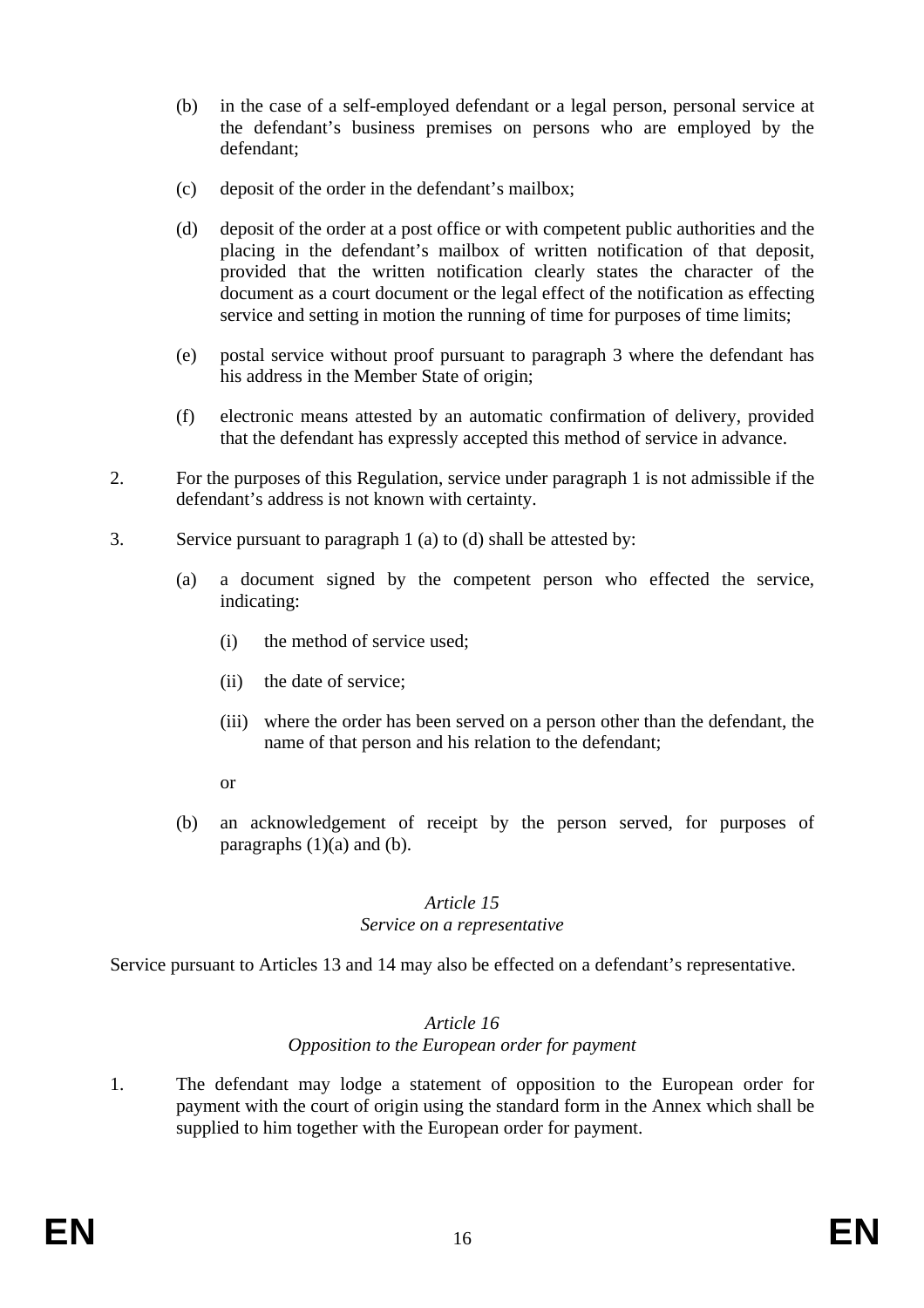- (b) in the case of a self-employed defendant or a legal person, personal service at the defendant's business premises on persons who are employed by the defendant;
- (c) deposit of the order in the defendant's mailbox;
- (d) deposit of the order at a post office or with competent public authorities and the placing in the defendant's mailbox of written notification of that deposit, provided that the written notification clearly states the character of the document as a court document or the legal effect of the notification as effecting service and setting in motion the running of time for purposes of time limits;
- (e) postal service without proof pursuant to paragraph 3 where the defendant has his address in the Member State of origin;
- (f) electronic means attested by an automatic confirmation of delivery, provided that the defendant has expressly accepted this method of service in advance.
- 2. For the purposes of this Regulation, service under paragraph 1 is not admissible if the defendant's address is not known with certainty.
- 3. Service pursuant to paragraph 1 (a) to (d) shall be attested by:
	- (a) a document signed by the competent person who effected the service, indicating:
		- (i) the method of service used;
		- (ii) the date of service;
		- (iii) where the order has been served on a person other than the defendant, the name of that person and his relation to the defendant;
		- or
	- (b) an acknowledgement of receipt by the person served, for purposes of paragraphs  $(1)(a)$  and  $(b)$ .

## *Article 15*

### *Service on a representative*

Service pursuant to Articles 13 and 14 may also be effected on a defendant's representative.

#### *Article 16 Opposition to the European order for payment*

1. The defendant may lodge a statement of opposition to the European order for payment with the court of origin using the standard form in the Annex which shall be supplied to him together with the European order for payment.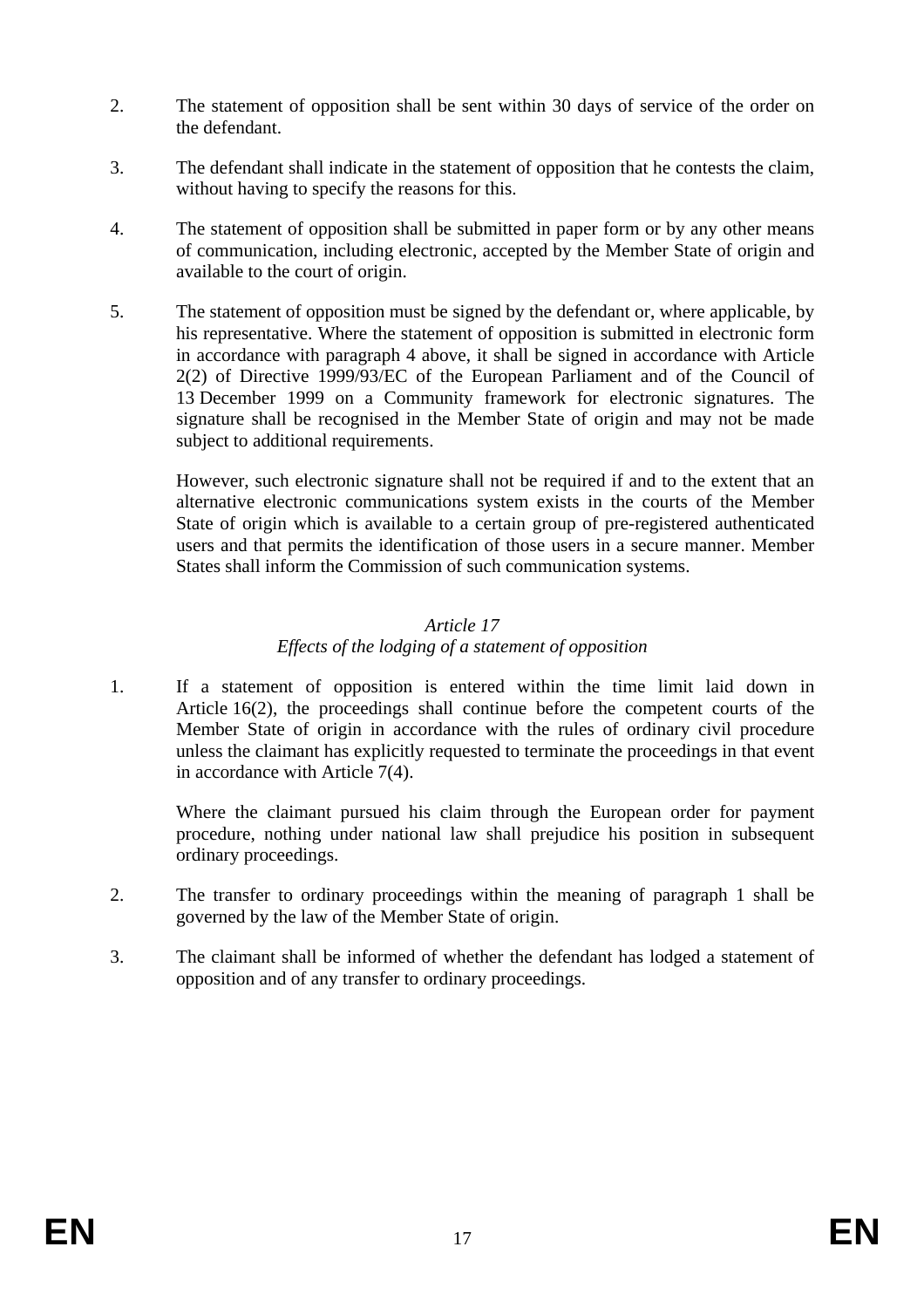- 2. The statement of opposition shall be sent within 30 days of service of the order on the defendant.
- 3. The defendant shall indicate in the statement of opposition that he contests the claim, without having to specify the reasons for this.
- 4. The statement of opposition shall be submitted in paper form or by any other means of communication, including electronic, accepted by the Member State of origin and available to the court of origin.
- 5. The statement of opposition must be signed by the defendant or, where applicable, by his representative. Where the statement of opposition is submitted in electronic form in accordance with paragraph 4 above, it shall be signed in accordance with Article 2(2) of Directive 1999/93/EC of the European Parliament and of the Council of 13 December 1999 on a Community framework for electronic signatures. The signature shall be recognised in the Member State of origin and may not be made subject to additional requirements.

However, such electronic signature shall not be required if and to the extent that an alternative electronic communications system exists in the courts of the Member State of origin which is available to a certain group of pre-registered authenticated users and that permits the identification of those users in a secure manner. Member States shall inform the Commission of such communication systems.

# *Article 17 Effects of the lodging of a statement of opposition*

1. If a statement of opposition is entered within the time limit laid down in Article 16(2), the proceedings shall continue before the competent courts of the Member State of origin in accordance with the rules of ordinary civil procedure unless the claimant has explicitly requested to terminate the proceedings in that event in accordance with Article 7(4).

Where the claimant pursued his claim through the European order for payment procedure, nothing under national law shall prejudice his position in subsequent ordinary proceedings.

- 2. The transfer to ordinary proceedings within the meaning of paragraph 1 shall be governed by the law of the Member State of origin.
- 3. The claimant shall be informed of whether the defendant has lodged a statement of opposition and of any transfer to ordinary proceedings.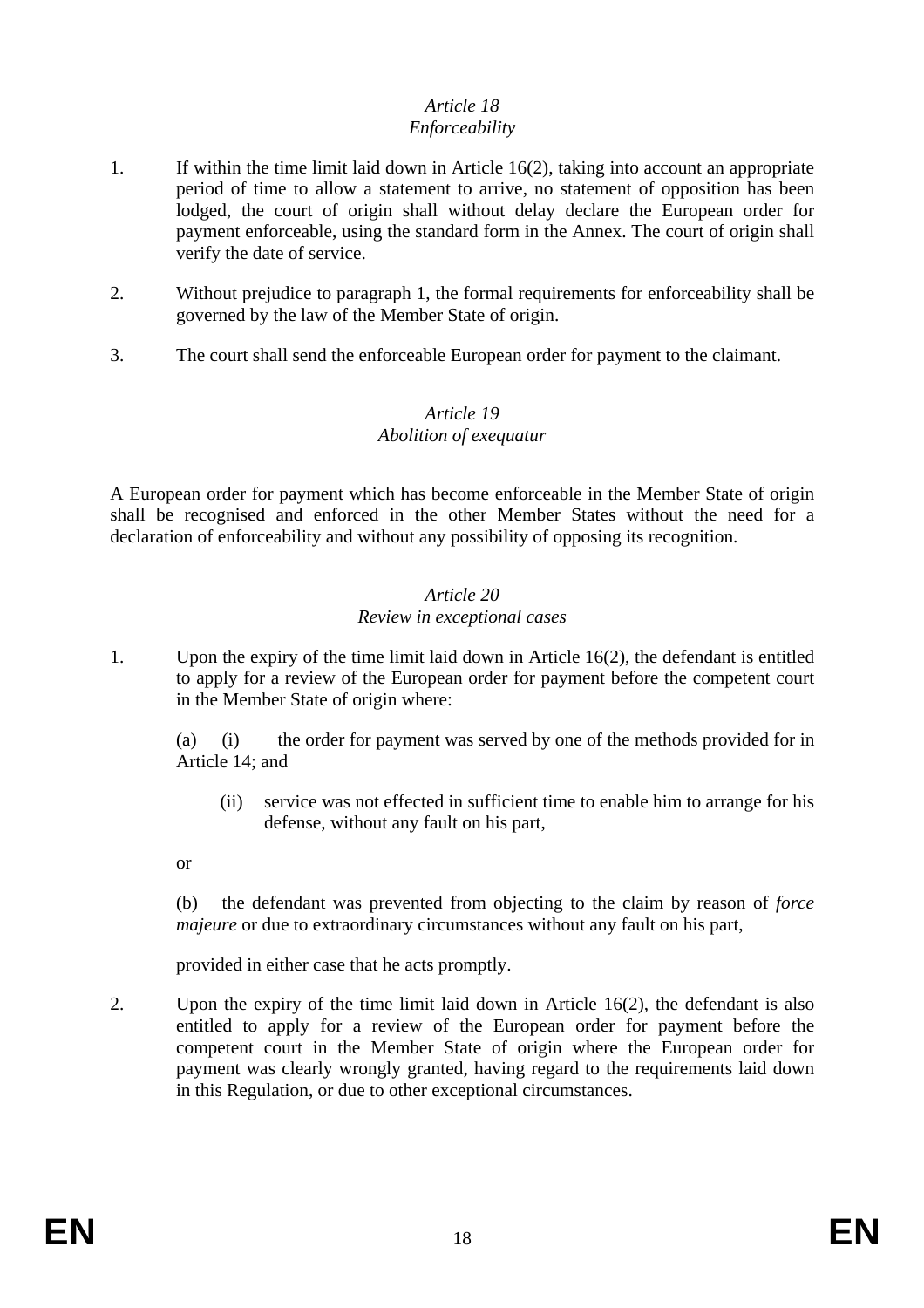## *Article 18 Enforceability*

- 1. If within the time limit laid down in Article 16(2), taking into account an appropriate period of time to allow a statement to arrive, no statement of opposition has been lodged, the court of origin shall without delay declare the European order for payment enforceable, using the standard form in the Annex. The court of origin shall verify the date of service.
- 2. Without prejudice to paragraph 1, the formal requirements for enforceability shall be governed by the law of the Member State of origin.
- 3. The court shall send the enforceable European order for payment to the claimant.

## *Article 19 Abolition of exequatur*

A European order for payment which has become enforceable in the Member State of origin shall be recognised and enforced in the other Member States without the need for a declaration of enforceability and without any possibility of opposing its recognition.

### *Article 20 Review in exceptional cases*

1. Upon the expiry of the time limit laid down in Article 16(2), the defendant is entitled to apply for a review of the European order for payment before the competent court in the Member State of origin where:

(a) (i) the order for payment was served by one of the methods provided for in Article 14; and

(ii) service was not effected in sufficient time to enable him to arrange for his defense, without any fault on his part,

or

(b) the defendant was prevented from objecting to the claim by reason of *force majeure* or due to extraordinary circumstances without any fault on his part,

provided in either case that he acts promptly.

2. Upon the expiry of the time limit laid down in Article 16(2), the defendant is also entitled to apply for a review of the European order for payment before the competent court in the Member State of origin where the European order for payment was clearly wrongly granted, having regard to the requirements laid down in this Regulation, or due to other exceptional circumstances.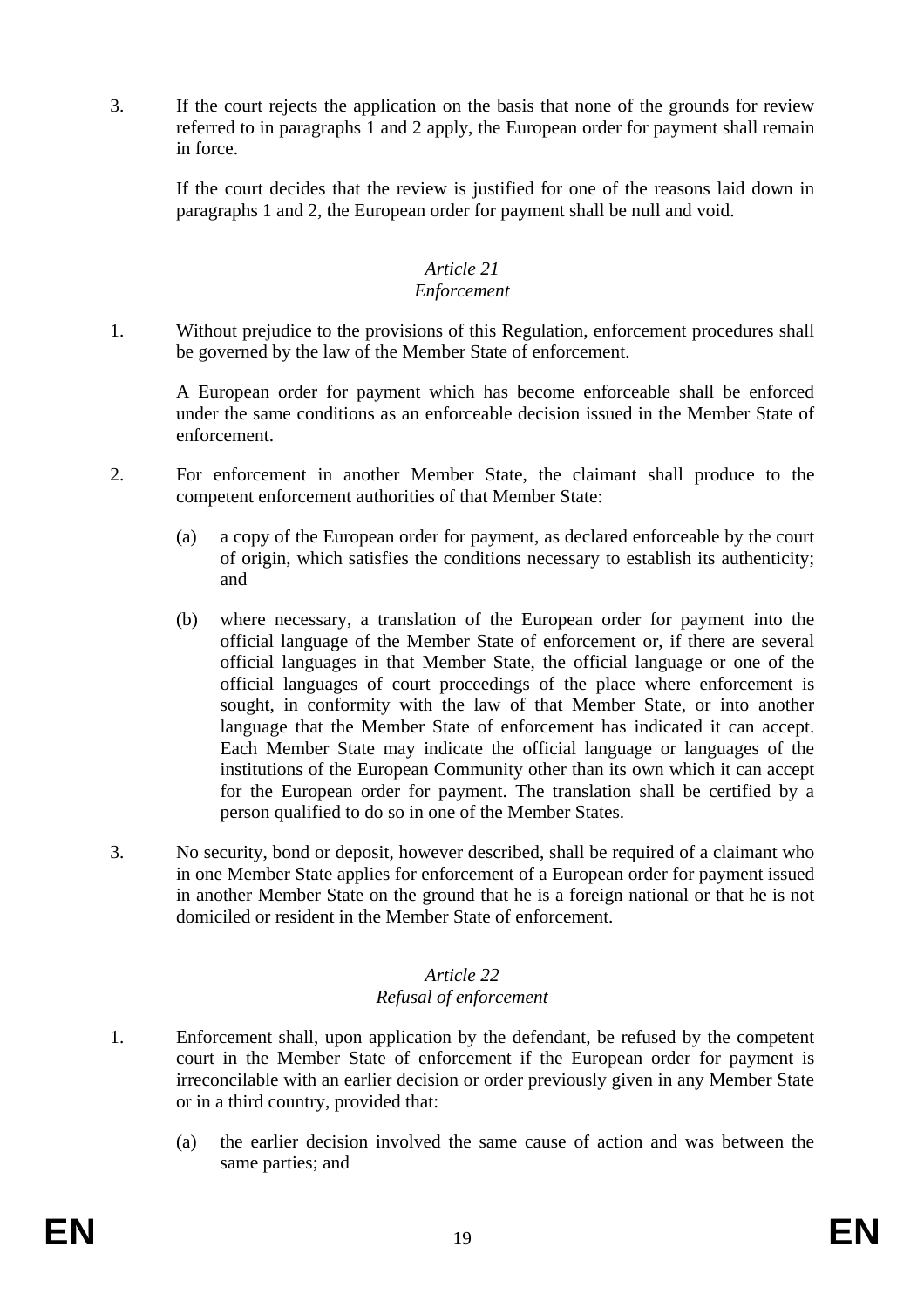3. If the court rejects the application on the basis that none of the grounds for review referred to in paragraphs 1 and 2 apply, the European order for payment shall remain in force.

If the court decides that the review is justified for one of the reasons laid down in paragraphs 1 and 2, the European order for payment shall be null and void.

# *Article 21*

## *Enforcement*

1. Without prejudice to the provisions of this Regulation, enforcement procedures shall be governed by the law of the Member State of enforcement.

A European order for payment which has become enforceable shall be enforced under the same conditions as an enforceable decision issued in the Member State of enforcement.

- 2. For enforcement in another Member State, the claimant shall produce to the competent enforcement authorities of that Member State:
	- (a) a copy of the European order for payment, as declared enforceable by the court of origin, which satisfies the conditions necessary to establish its authenticity; and
	- (b) where necessary, a translation of the European order for payment into the official language of the Member State of enforcement or, if there are several official languages in that Member State, the official language or one of the official languages of court proceedings of the place where enforcement is sought, in conformity with the law of that Member State, or into another language that the Member State of enforcement has indicated it can accept. Each Member State may indicate the official language or languages of the institutions of the European Community other than its own which it can accept for the European order for payment. The translation shall be certified by a person qualified to do so in one of the Member States.
- 3. No security, bond or deposit, however described, shall be required of a claimant who in one Member State applies for enforcement of a European order for payment issued in another Member State on the ground that he is a foreign national or that he is not domiciled or resident in the Member State of enforcement.

### *Article 22 Refusal of enforcement*

- 1. Enforcement shall, upon application by the defendant, be refused by the competent court in the Member State of enforcement if the European order for payment is irreconcilable with an earlier decision or order previously given in any Member State or in a third country, provided that:
	- (a) the earlier decision involved the same cause of action and was between the same parties; and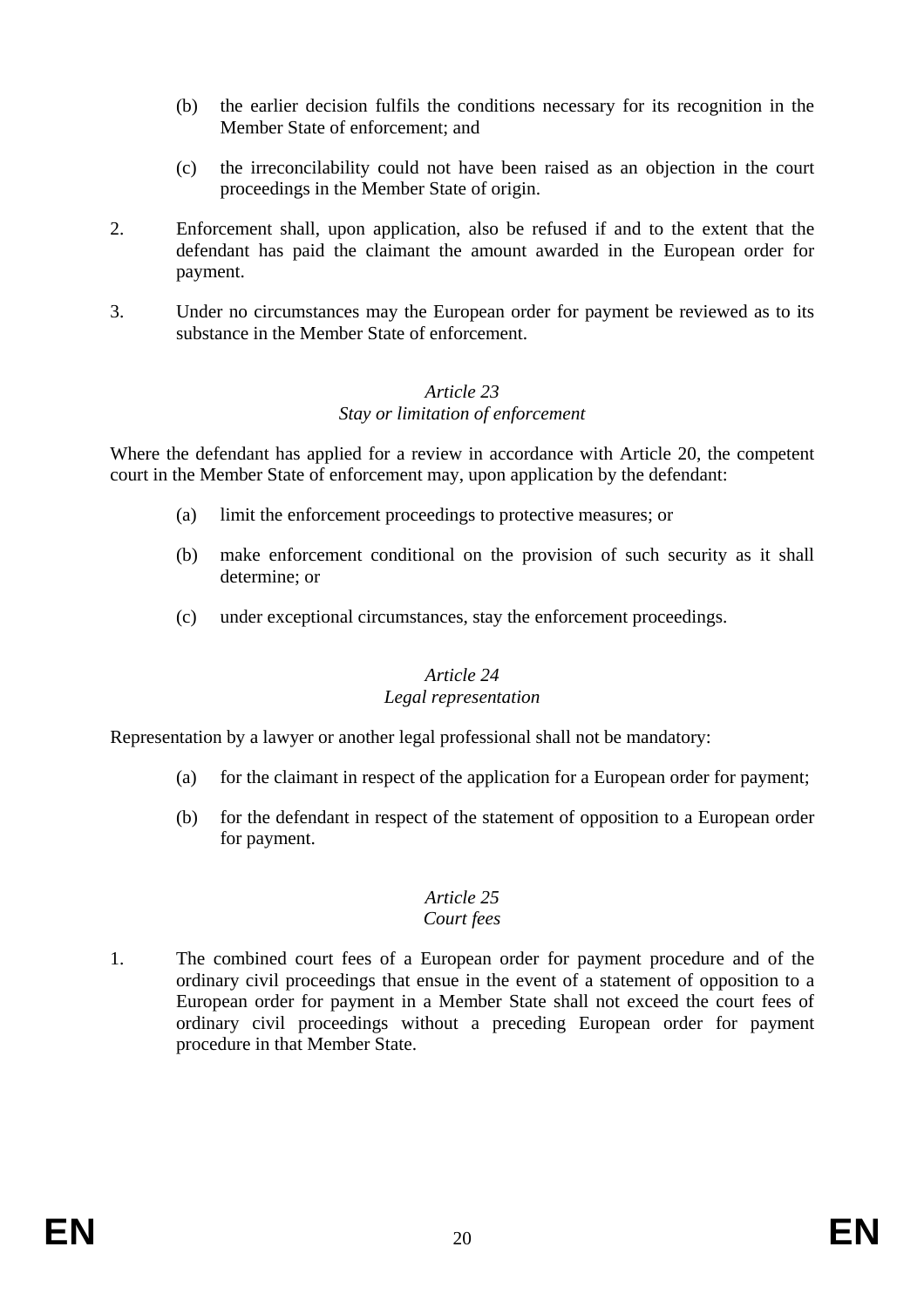- (b) the earlier decision fulfils the conditions necessary for its recognition in the Member State of enforcement; and
- (c) the irreconcilability could not have been raised as an objection in the court proceedings in the Member State of origin.
- 2. Enforcement shall, upon application, also be refused if and to the extent that the defendant has paid the claimant the amount awarded in the European order for payment.
- 3. Under no circumstances may the European order for payment be reviewed as to its substance in the Member State of enforcement.

## *Article 23 Stay or limitation of enforcement*

Where the defendant has applied for a review in accordance with Article 20, the competent court in the Member State of enforcement may, upon application by the defendant:

- (a) limit the enforcement proceedings to protective measures; or
- (b) make enforcement conditional on the provision of such security as it shall determine; or
- (c) under exceptional circumstances, stay the enforcement proceedings.

## *Article 24 Legal representation*

Representation by a lawyer or another legal professional shall not be mandatory:

- (a) for the claimant in respect of the application for a European order for payment;
- (b) for the defendant in respect of the statement of opposition to a European order for payment.

### *Article 25 Court fees*

1. The combined court fees of a European order for payment procedure and of the ordinary civil proceedings that ensue in the event of a statement of opposition to a European order for payment in a Member State shall not exceed the court fees of ordinary civil proceedings without a preceding European order for payment procedure in that Member State.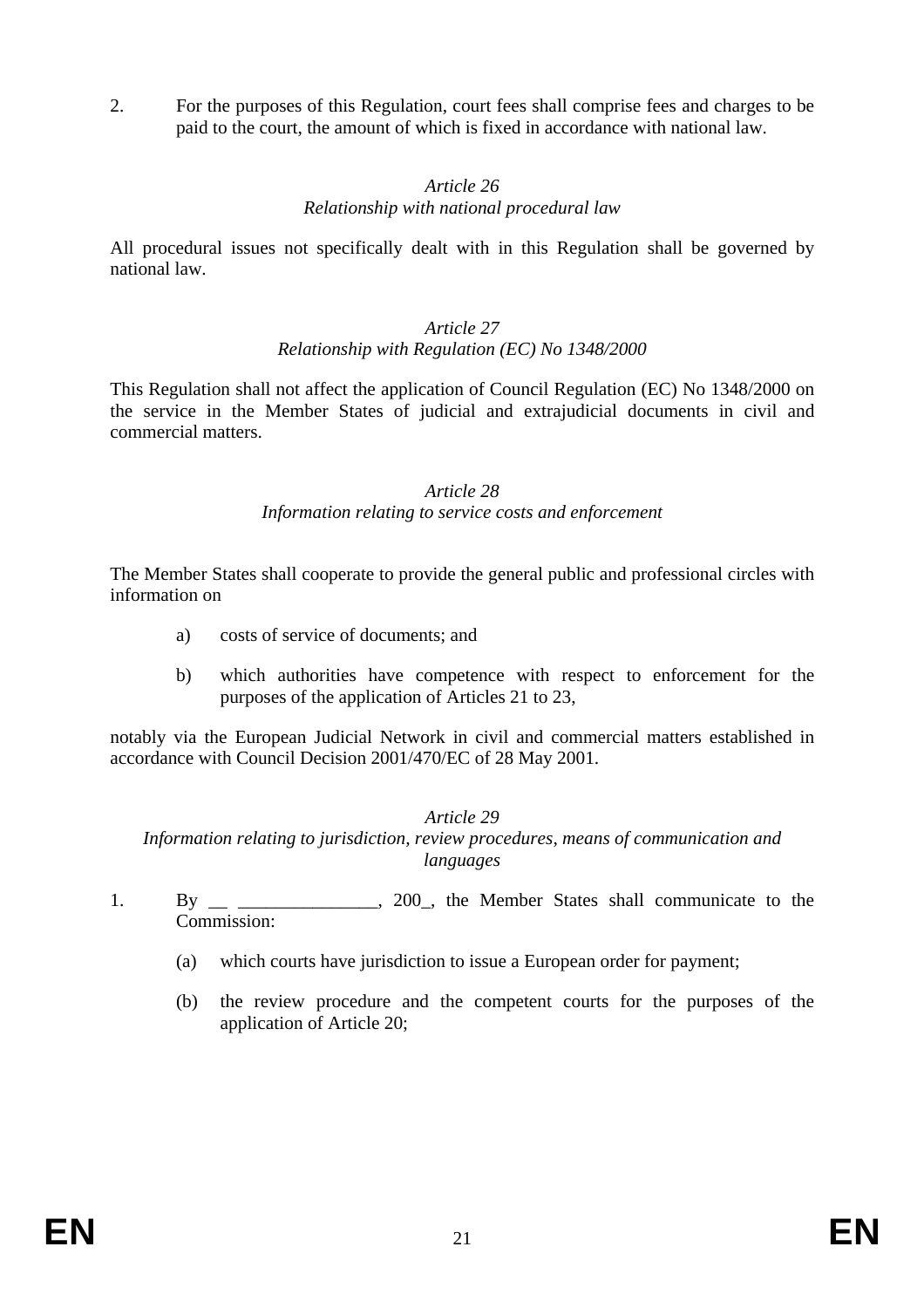2. For the purposes of this Regulation, court fees shall comprise fees and charges to be paid to the court, the amount of which is fixed in accordance with national law.

#### *Article 26 Relationship with national procedural law*

All procedural issues not specifically dealt with in this Regulation shall be governed by national law.

#### *Article 27 Relationship with Regulation (EC) No 1348/2000*

This Regulation shall not affect the application of Council Regulation (EC) No 1348/2000 on the service in the Member States of judicial and extrajudicial documents in civil and commercial matters.

## *Article 28 Information relating to service costs and enforcement*

The Member States shall cooperate to provide the general public and professional circles with information on

- a) costs of service of documents; and
- b) which authorities have competence with respect to enforcement for the purposes of the application of Articles 21 to 23,

notably via the European Judicial Network in civil and commercial matters established in accordance with Council Decision 2001/470/EC of 28 May 2001.

### *Article 29*

*Information relating to jurisdiction, review procedures, means of communication and languages* 

- 1. By \_\_\_\_\_\_\_\_\_\_\_, 200\_, the Member States shall communicate to the Commission:
	- (a) which courts have jurisdiction to issue a European order for payment;
	- (b) the review procedure and the competent courts for the purposes of the application of Article 20;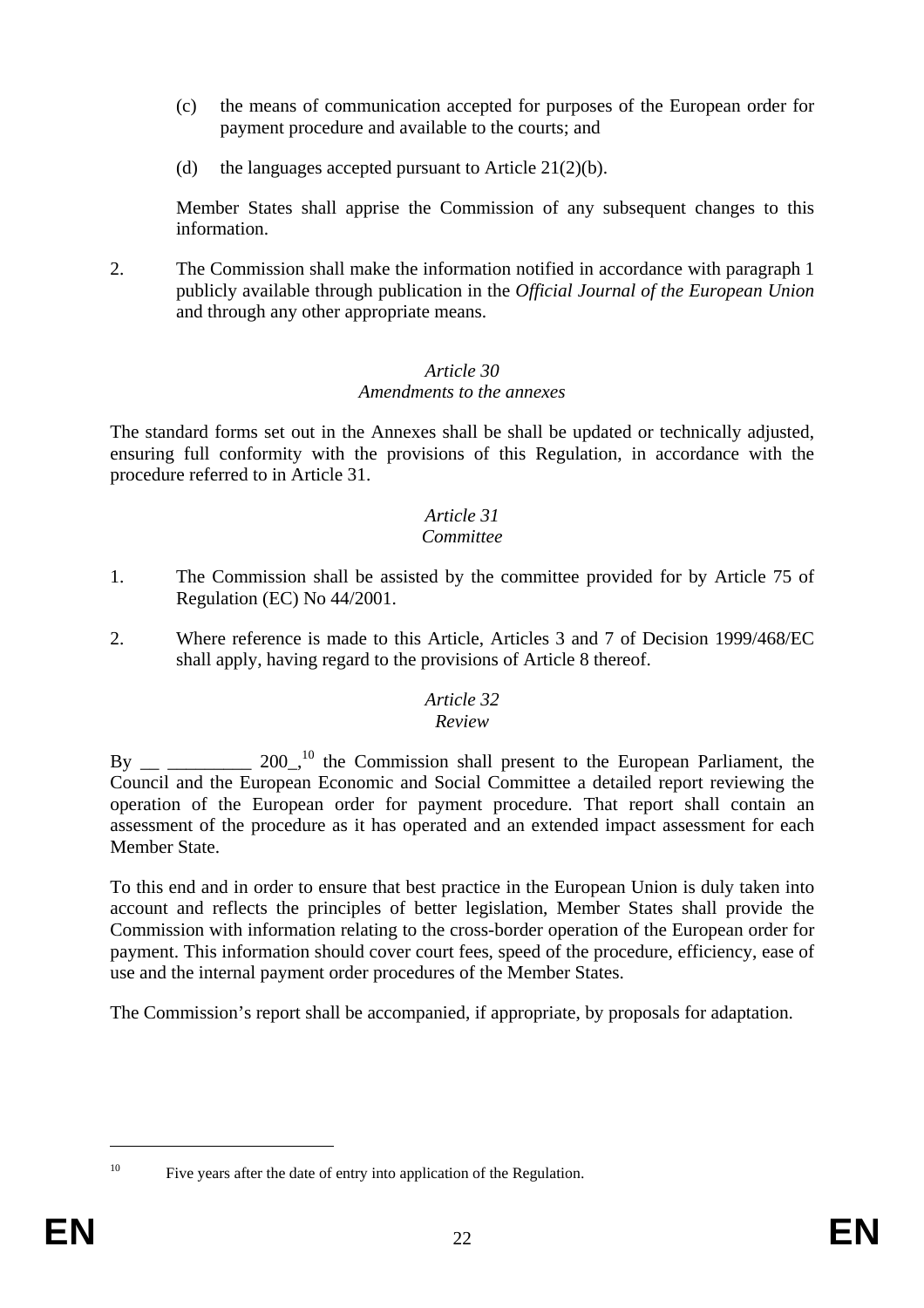- (c) the means of communication accepted for purposes of the European order for payment procedure and available to the courts; and
- (d) the languages accepted pursuant to Article  $21(2)(b)$ .

Member States shall apprise the Commission of any subsequent changes to this information.

2. The Commission shall make the information notified in accordance with paragraph 1 publicly available through publication in the *Official Journal of the European Union* and through any other appropriate means.

### *Article 30 Amendments to the annexes*

The standard forms set out in the Annexes shall be shall be updated or technically adjusted, ensuring full conformity with the provisions of this Regulation, in accordance with the procedure referred to in Article 31.

#### *Article 31 Committee*

- 1. The Commission shall be assisted by the committee provided for by Article 75 of Regulation (EC) No 44/2001.
- 2. Where reference is made to this Article, Articles 3 and 7 of Decision 1999/468/EC shall apply, having regard to the provisions of Article 8 thereof.

## *Article 32*

### *Review*

 $\rm\,By$  \_\_ \_\_\_\_\_\_\_\_ 200<sub>\_1</sub><sup>10</sup> the Commission shall present to the European Parliament, the Council and the European Economic and Social Committee a detailed report reviewing the operation of the European order for payment procedure. That report shall contain an assessment of the procedure as it has operated and an extended impact assessment for each Member State.

To this end and in order to ensure that best practice in the European Union is duly taken into account and reflects the principles of better legislation, Member States shall provide the Commission with information relating to the cross-border operation of the European order for payment. This information should cover court fees, speed of the procedure, efficiency, ease of use and the internal payment order procedures of the Member States.

The Commission's report shall be accompanied, if appropriate, by proposals for adaptation.

 $\overline{a}$ 

<sup>&</sup>lt;sup>10</sup> Five years after the date of entry into application of the Regulation.